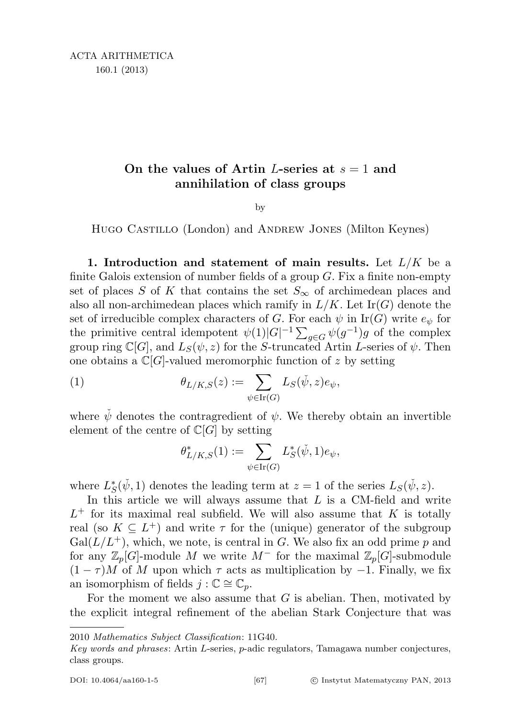## On the values of Artin L-series at  $s = 1$  and annihilation of class groups

by

Hugo Castillo (London) and Andrew Jones (Milton Keynes)

<span id="page-0-0"></span>1. Introduction and statement of main results. Let  $L/K$  be a finite Galois extension of number fields of a group  $G$ . Fix a finite non-empty set of places S of K that contains the set  $S_{\infty}$  of archimedean places and also all non-archimedean places which ramify in  $L/K$ . Let  $\text{Ir}(G)$  denote the set of irreducible complex characters of G. For each  $\psi$  in Ir(G) write  $e_{\psi}$  for the primitive central idempotent  $\psi(1)|G|^{-1} \sum_{g \in G} \psi(g^{-1})g$  of the complex group ring  $\mathbb{C}[G]$ , and  $L_S(\psi, z)$  for the S-truncated Artin L-series of  $\psi$ . Then one obtains a  $\mathbb{C}[G]$ -valued meromorphic function of z by setting

(1) 
$$
\theta_{L/K,S}(z) := \sum_{\psi \in \text{Ir}(G)} L_S(\check{\psi}, z) e_{\psi},
$$

where  $\psi$  denotes the contragredient of  $\psi$ . We thereby obtain an invertible element of the centre of  $\mathbb{C}[G]$  by setting

$$
\theta^*_{L/K,S}(1):=\sum_{\psi\in \mathrm{Ir}(G)}L_S^*(\check{\psi},1)e_{\psi},
$$

where  $L_S^*(\check{\psi}, 1)$  denotes the leading term at  $z = 1$  of the series  $L_S(\check{\psi}, z)$ .

In this article we will always assume that  $L$  is a CM-field and write  $L^+$  for its maximal real subfield. We will also assume that K is totally real (so  $K \subseteq L^+$ ) and write  $\tau$  for the (unique) generator of the subgroup  $Gal(L/L^+),$  which, we note, is central in G. We also fix an odd prime p and for any  $\mathbb{Z}_p[G]$ -module M we write  $M^-$  for the maximal  $\mathbb{Z}_p[G]$ -submodule  $(1 - \tau)M$  of M upon which  $\tau$  acts as multiplication by -1. Finally, we fix an isomorphism of fields  $j : \mathbb{C} \cong \mathbb{C}_p$ .

For the moment we also assume that  $G$  is abelian. Then, motivated by the explicit integral refinement of the abelian Stark Conjecture that was

<sup>2010</sup> Mathematics Subject Classification: 11G40.

Key words and phrases: Artin L-series, p-adic regulators, Tamagawa number conjectures, class groups.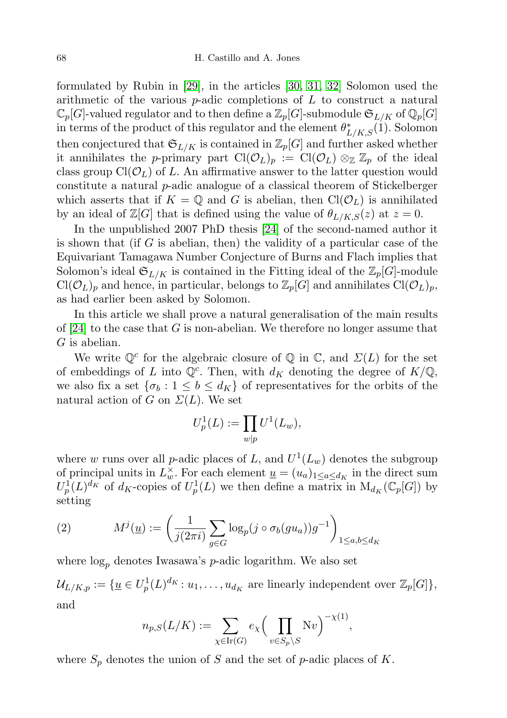formulated by Rubin in [\[29\]](#page-26-0), in the articles [\[30,](#page-26-1) [31,](#page-26-2) [32\]](#page-26-3) Solomon used the arithmetic of the various  $p$ -adic completions of  $L$  to construct a natural  $\mathbb{C}_p[G]$ -valued regulator and to then define a  $\mathbb{Z}_p[G]$ -submodule  $\mathfrak{S}_{L/K}$  of  $\mathbb{Q}_p[G]$ in terms of the product of this regulator and the element  $\theta_{L/K,S}^*(1)$ . Solomon then conjectured that  $\mathfrak{S}_{L/K}$  is contained in  $\mathbb{Z}_p[G]$  and further asked whether it annihilates the p-primary part  $\text{Cl}(\mathcal{O}_L)_p := \text{Cl}(\mathcal{O}_L) \otimes_{\mathbb{Z}} \mathbb{Z}_p$  of the ideal class group  $Cl(\mathcal{O}_L)$  of L. An affirmative answer to the latter question would constitute a natural p-adic analogue of a classical theorem of Stickelberger which asserts that if  $K = \mathbb{Q}$  and G is abelian, then  $Cl(\mathcal{O}_L)$  is annihilated by an ideal of  $\mathbb{Z}[G]$  that is defined using the value of  $\theta_{L/K,S}(z)$  at  $z=0$ .

In the unpublished 2007 PhD thesis [\[24\]](#page-26-4) of the second-named author it is shown that (if  $G$  is abelian, then) the validity of a particular case of the Equivariant Tamagawa Number Conjecture of Burns and Flach implies that Solomon's ideal  $\mathfrak{S}_{L/K}$  is contained in the Fitting ideal of the  $\mathbb{Z}_p[G]$ -module  $Cl(\mathcal{O}_L)_p$  and hence, in particular, belongs to  $\mathbb{Z}_p[G]$  and annihilates  $Cl(\mathcal{O}_L)_p$ , as had earlier been asked by Solomon.

In this article we shall prove a natural generalisation of the main results of  $[24]$  to the case that G is non-abelian. We therefore no longer assume that G is abelian.

We write  $\mathbb{Q}^c$  for the algebraic closure of  $\mathbb Q$  in  $\mathbb C$ , and  $\Sigma(L)$  for the set of embeddings of L into  $\mathbb{Q}^c$ . Then, with  $d_K$  denoting the degree of  $K/\mathbb{Q}$ , we also fix a set  $\{\sigma_b : 1 \leq b \leq d_K\}$  of representatives for the orbits of the natural action of G on  $\Sigma(L)$ . We set

$$
U_p^1(L) := \prod_{w|p} U^1(L_w),
$$

where w runs over all p-adic places of L, and  $U^1(L_w)$  denotes the subgroup of principal units in  $L^{\times}_w$ . For each element  $\underline{u} = (u_a)_{1 \leq a \leq d_K}$  in the direct sum  $U_p^1(L)^{d_K}$  of  $d_K$ -copies of  $U_p^1(L)$  we then define a matrix in  $M_{d_K}(\mathbb{C}_p[G])$  by setting

<span id="page-1-0"></span>(2) 
$$
M^{j}(\underline{u}) := \left(\frac{1}{j(2\pi i)} \sum_{g \in G} \log_{p}(j \circ \sigma_{b}(gu_{a})) g^{-1}\right)_{1 \leq a,b \leq d_{K}}
$$

where  $log_p$  denotes Iwasawa's *p*-adic logarithm. We also set

 $\mathcal{U}_{L/K,p} := \{ \underline{u} \in U_p^1(L)^{d_K} : u_1, \ldots, u_{d_K} \text{ are linearly independent over } \mathbb{Z}_p[G] \},$ and

$$
n_{p,S}(L/K) := \sum_{\chi \in \text{Ir}(G)} e_{\chi} \Big(\prod_{v \in S_p \setminus S} \text{N}v\Big)^{-\chi(1)},
$$

where  $S_p$  denotes the union of S and the set of p-adic places of K.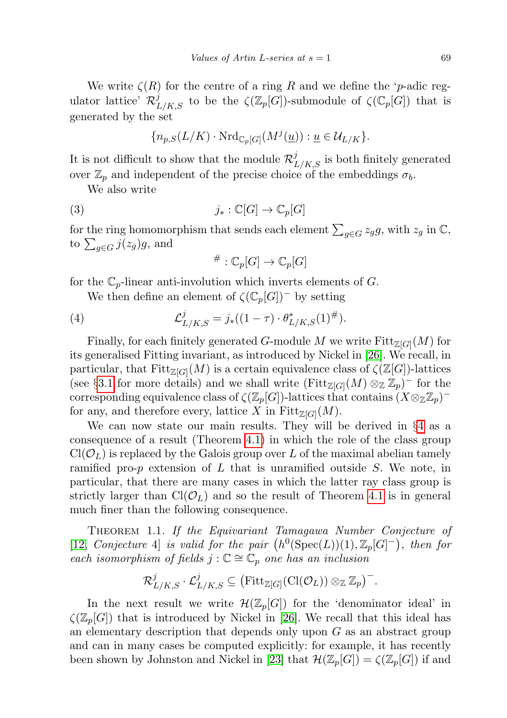We write  $\zeta(R)$  for the centre of a ring R and we define the 'p-adic regulator lattice'  $\mathcal{R}_{L/K,S}^j$  to be the  $\zeta(\mathbb{Z}_p[G])$ -submodule of  $\zeta(\mathbb{C}_p[G])$  that is generated by the set

$$
\{n_{p,S}(L/K)\cdot {\rm Nrd}_{\mathbb{C}_p[G]}(M^j(\underline{u})): \underline{u}\in \mathcal{U}_{L/K}\}.
$$

It is not difficult to show that the module  $\mathcal{R}_{L/K,S}^j$  is both finitely generated over  $\mathbb{Z}_p$  and independent of the precise choice of the embeddings  $\sigma_b$ .

We also write

(3) 
$$
j_*: \mathbb{C}[G] \to \mathbb{C}_p[G]
$$

for the ring homomorphism that sends each element  $\sum_{g \in G} z_g g$ , with  $z_g$  in  $\mathbb{C}$ , to  $\sum_{g \in G} j(z_g)g$ , and

<span id="page-2-1"></span>
$$
{}^{\#}: {\mathbb C}_p[G] \to {\mathbb C}_p[G]
$$

for the  $\mathbb{C}_p$ -linear anti-involution which inverts elements of G.

We then define an element of  $\zeta(\mathbb{C}_p[G])^-$  by setting

(4) 
$$
\mathcal{L}_{L/K,S}^{j} = j_{*}((1-\tau) \cdot \theta_{L/K,S}^{*}(1)^{\#}).
$$

Finally, for each finitely generated G-module M we write  $\text{Fitt}_{\mathbb{Z}[G]}(M)$  for its generalised Fitting invariant, as introduced by Nickel in [\[26\]](#page-26-5). We recall, in particular, that  $\text{Fitt}_{\mathbb{Z}[G]}(M)$  is a certain equivalence class of  $\zeta(\mathbb{Z}[G])$ -lattices (see §[3.1](#page-15-0) for more details) and we shall write  $(\text{Fitt}_{\mathbb{Z}[G]}(M) \otimes_{\mathbb{Z}} \mathbb{Z}_p)^-$  for the  $\text{corresponding equivalence class of } \zeta(\mathbb{Z}_p[G])\text{-lattices that contains } (X \otimes_{\mathbb{Z}} \mathbb{Z}_p)^+$ for any, and therefore every, lattice X in  $Fitt_{\mathbb{Z}[G]}(M)$ .

We can now state our main results. They will be derived in §[4](#page-21-0) as a consequence of a result (Theorem [4.1\)](#page-21-1) in which the role of the class group  $Cl(\mathcal{O}_L)$  is replaced by the Galois group over L of the maximal abelian tamely ramified pro- $p$  extension of  $L$  that is unramified outside  $S$ . We note, in particular, that there are many cases in which the latter ray class group is strictly larger than  $Cl(\mathcal{O}_L)$  and so the result of Theorem [4.1](#page-21-1) is in general much finer than the following consequence.

<span id="page-2-0"></span>THEOREM 1.1. If the Equivariant Tamagawa Number Conjecture of [\[12,](#page-25-0) Conjecture 4] is valid for the pair  $(h^0(\text{Spec}(L))(1), \mathbb{Z}_p[G]^-)$ , then for each isomorphism of fields  $j : \mathbb{C} \cong \mathbb{C}_p$  one has an inclusion

$$
\mathcal{R}^j_{L/K,S}\cdot \mathcal{L}^j_{L/K,S}\subseteq \big(\text{Fitt}_{\mathbb{Z}[G]}(\text{Cl}(\mathcal{O}_L))\otimes_{\mathbb{Z}}\mathbb{Z}_p\big)^-\text{.}
$$

In the next result we write  $\mathcal{H}(\mathbb{Z}_p[G])$  for the 'denominator ideal' in  $\zeta(\mathbb{Z}_p[G])$  that is introduced by Nickel in [\[26\]](#page-26-5). We recall that this ideal has an elementary description that depends only upon  $G$  as an abstract group and can in many cases be computed explicitly: for example, it has recently been shown by Johnston and Nickel in [\[23\]](#page-26-6) that  $\mathcal{H}(\mathbb{Z}_p[G]) = \zeta(\mathbb{Z}_p[G])$  if and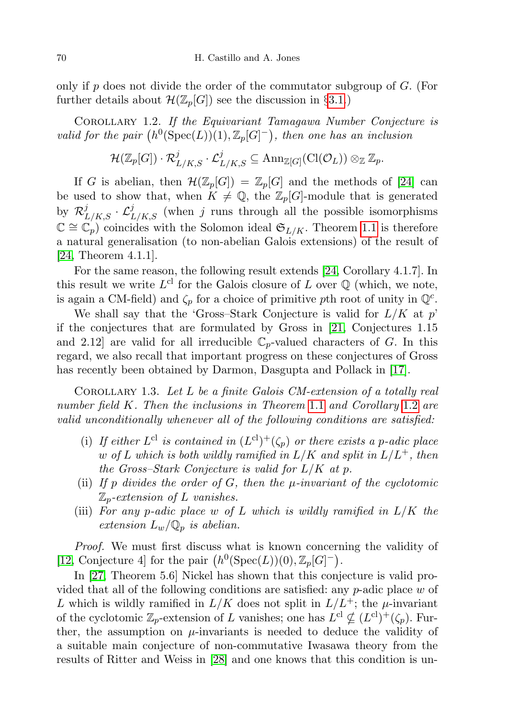only if  $p$  does not divide the order of the commutator subgroup of  $G$ . (For further details about  $\mathcal{H}(\mathbb{Z}_p[G])$  see the discussion in §[3.1.](#page-15-0))

<span id="page-3-0"></span>Corollary 1.2. If the Equivariant Tamagawa Number Conjecture is valid for the pair  $(h^0(Spec(L))(1), \mathbb{Z}_p[G]^-)$ , then one has an inclusion

$$
\mathcal{H}(\mathbb{Z}_p[G])\cdot \mathcal{R}_{L/K,S}^j\cdot \mathcal{L}_{L/K,S}^j\subseteq {\rm Ann}_{\mathbb{Z}[G]}({\rm Cl}(\mathcal{O}_L))\otimes_{\mathbb{Z}}\mathbb{Z}_p.
$$

If G is abelian, then  $\mathcal{H}(\mathbb{Z}_p[G]) = \mathbb{Z}_p[G]$  and the methods of [\[24\]](#page-26-4) can be used to show that, when  $K \neq \mathbb{Q}$ , the  $\mathbb{Z}_p[G]$ -module that is generated by  $\mathcal{R}_{L/K,S}^j \cdot \mathcal{L}_{L/K,S}^j$  (when j runs through all the possible isomorphisms  $\mathbb{C} \cong \mathbb{C}_p$  coincides with the Solomon ideal  $\mathfrak{S}_{L/K}$ . Theorem [1.1](#page-2-0) is therefore a natural generalisation (to non-abelian Galois extensions) of the result of  $[24,$  Theorem 4.1.1.

For the same reason, the following result extends [\[24,](#page-26-4) Corollary 4.1.7]. In this result we write  $L^{cl}$  for the Galois closure of L over  $\mathbb Q$  (which, we note, is again a CM-field) and  $\zeta_p$  for a choice of primitive pth root of unity in  $\mathbb{Q}^c$ .

We shall say that the 'Gross-Stark Conjecture is valid for  $L/K$  at p' if the conjectures that are formulated by Gross in [\[21,](#page-26-7) Conjectures 1.15 and 2.12 are valid for all irreducible  $\mathbb{C}_p$ -valued characters of G. In this regard, we also recall that important progress on these conjectures of Gross has recently been obtained by Darmon, Dasgupta and Pollack in [\[17\]](#page-25-1).

<span id="page-3-1"></span>COROLLARY 1.3. Let  $L$  be a finite Galois CM-extension of a totally real number field K. Then the inclusions in Theorem [1](#page-2-0).1 and Corollary [1](#page-3-0).2 are valid unconditionally whenever all of the following conditions are satisfied:

- (i) If either  $L^{cl}$  is contained in  $(L^{cl})^+(\zeta_p)$  or there exists a p-adic place w of L which is both wildly ramified in  $L/K$  and split in  $L/L^+$ , then the Gross–Stark Conjecture is valid for  $L/K$  at p.
- (ii) If p divides the order of  $G$ , then the  $\mu$ -invariant of the cyclotomic  $\mathbb{Z}_p$ -extension of L vanishes.
- (iii) For any p-adic place w of L which is wildly ramified in  $L/K$  the extension  $L_w/\mathbb{Q}_p$  is abelian.

Proof. We must first discuss what is known concerning the validity of [\[12,](#page-25-0) Conjecture 4] for the pair  $(h^0(\text{Spec}(L))(0), \mathbb{Z}_p[G]^-)$ .

In [\[27,](#page-26-8) Theorem 5.6] Nickel has shown that this conjecture is valid provided that all of the following conditions are satisfied: any  $p$ -adic place w of L which is wildly ramified in  $L/K$  does not split in  $L/L^+$ ; the  $\mu$ -invariant of the cyclotomic  $\mathbb{Z}_p$ -extension of L vanishes; one has  $L^{cl} \nsubseteq (L^{cl})^+(\zeta_p)$ . Further, the assumption on  $\mu$ -invariants is needed to deduce the validity of a suitable main conjecture of non-commutative Iwasawa theory from the results of Ritter and Weiss in [\[28\]](#page-26-9) and one knows that this condition is un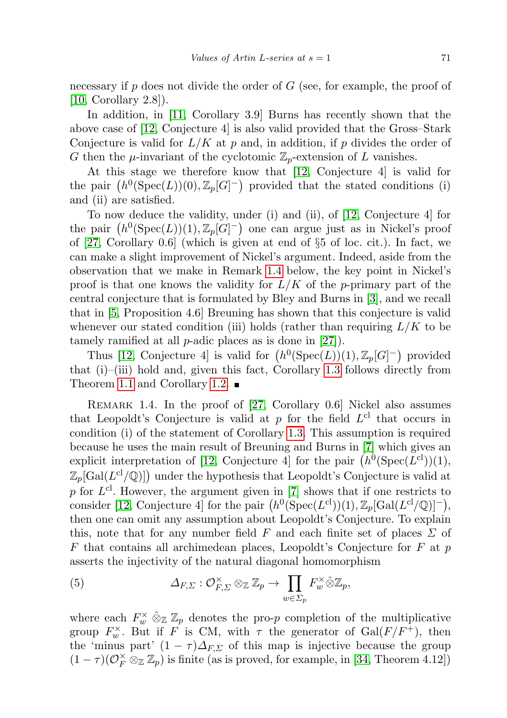necessary if  $p$  does not divide the order of  $G$  (see, for example, the proof of [\[10,](#page-25-2) Corollary 2.8]).

In addition, in [\[11,](#page-25-3) Corollary 3.9] Burns has recently shown that the above case of [\[12,](#page-25-0) Conjecture 4] is also valid provided that the Gross–Stark Conjecture is valid for  $L/K$  at p and, in addition, if p divides the order of G then the  $\mu$ -invariant of the cyclotomic  $\mathbb{Z}_p$ -extension of L vanishes.

At this stage we therefore know that [\[12,](#page-25-0) Conjecture 4] is valid for the pair  $(h^0(\text{Spec}(L))(0), \mathbb{Z}_p[G]^-)$  provided that the stated conditions (i) and (ii) are satisfied.

To now deduce the validity, under (i) and (ii), of [\[12,](#page-25-0) Conjecture 4] for the pair  $(h^0(\text{Spec}(L))(1), \mathbb{Z}_p[G]^{-})$  one can argue just as in Nickel's proof of [\[27,](#page-26-8) Corollary 0.6] (which is given at end of §5 of loc. cit.). In fact, we can make a slight improvement of Nickel's argument. Indeed, aside from the observation that we make in Remark [1.4](#page-4-0) below, the key point in Nickel's proof is that one knows the validity for  $L/K$  of the p-primary part of the central conjecture that is formulated by Bley and Burns in [\[3\]](#page-25-4), and we recall that in [\[5,](#page-25-5) Proposition 4.6] Breuning has shown that this conjecture is valid whenever our stated condition (iii) holds (rather than requiring  $L/K$  to be tamely ramified at all p-adic places as is done in [\[27\]](#page-26-8)).

Thus [\[12,](#page-25-0) Conjecture 4] is valid for  $(h^0(Spec(L))(1), \mathbb{Z}_p[G]^-)$  provided that (i)–(iii) hold and, given this fact, Corollary [1.3](#page-3-1) follows directly from Theorem [1.1](#page-2-0) and Corollary [1.2.](#page-3-0)  $\blacksquare$ 

<span id="page-4-0"></span>Remark 1.4. In the proof of [\[27,](#page-26-8) Corollary 0.6] Nickel also assumes that Leopoldt's Conjecture is valid at  $p$  for the field  $L^{cl}$  that occurs in condition (i) of the statement of Corollary [1.3.](#page-3-1) This assumption is required because he uses the main result of Breuning and Burns in [\[7\]](#page-25-6) which gives an explicit interpretation of [\[12,](#page-25-0) Conjecture 4] for the pair  $(h^0(\text{Spec}(L^{cl}))(1),$  $\mathbb{Z}_p[\text{Gal}(L^{cl}/\mathbb{Q})]$  under the hypothesis that Leopoldt's Conjecture is valid at p for  $L^{cl}$ . However, the argument given in [\[7\]](#page-25-6) shows that if one restricts to consider [\[12,](#page-25-0) Conjecture 4] for the pair  $(h^0(\text{Spec}(L^{cl}))(1), \mathbb{Z}_p[\text{Gal}(L^{cl}/\mathbb{Q})]^-)$ , then one can omit any assumption about Leopoldt's Conjecture. To explain this, note that for any number field F and each finite set of places  $\Sigma$  of  $F$  that contains all archimedean places, Leopoldt's Conjecture for  $F$  at  $p$ asserts the injectivity of the natural diagonal homomorphism

<span id="page-4-1"></span>(5) 
$$
\Delta_{F,\Sigma}: \mathcal{O}_{F,\Sigma}^{\times} \otimes_{\mathbb{Z}} \mathbb{Z}_p \to \prod_{w \in \Sigma_p} F_w^{\times} \hat{\otimes} \mathbb{Z}_p,
$$

where each  $F_w^{\times} \otimes_{\mathbb{Z}} \mathbb{Z}_p$  denotes the pro-p completion of the multiplicative group  $F_w^{\times}$ . But if F is CM, with  $\tau$  the generator of  $Gal(F/F^+)$ , then the 'minus part'  $(1 - \tau) \Delta_{F,\Sigma}$  of this map is injective because the group  $(1 - \tau)(\mathcal{O}_F^{\times} \otimes_{\mathbb{Z}} \mathbb{Z}_p)$  is finite (as is proved, for example, in [\[34,](#page-26-10) Theorem 4.12])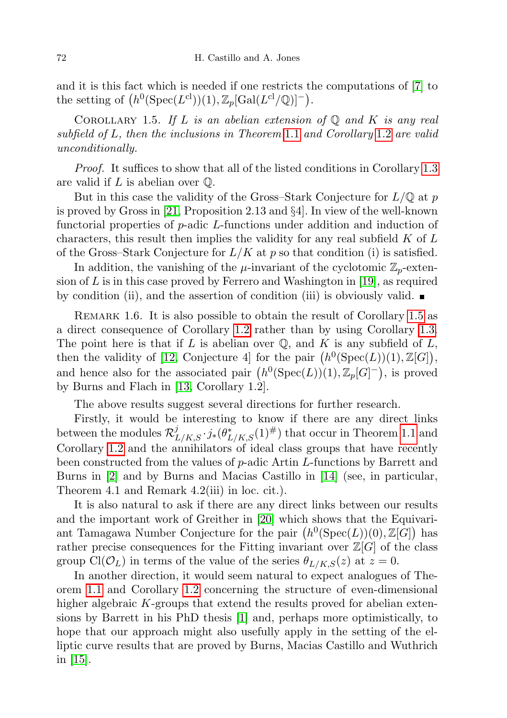and it is this fact which is needed if one restricts the computations of [\[7\]](#page-25-6) to the setting of  $(h^0(\text{Spec}(L^{cl}))(1), \mathbb{Z}_p[\text{Gal}(L^{cl}/\mathbb{Q})]^-).$ 

<span id="page-5-0"></span>COROLLARY 1.5. If L is an abelian extension of  $\mathbb Q$  and K is any real subfield of L, then the inclusions in Theorem [1](#page-2-0).1 and Corollary [1](#page-3-0).2 are valid unconditionally.

Proof. It suffices to show that all of the listed conditions in Corollary [1.3](#page-3-1) are valid if  $L$  is abelian over  $\mathbb{Q}$ .

But in this case the validity of the Gross–Stark Conjecture for  $L/\mathbb{Q}$  at p is proved by Gross in [\[21,](#page-26-7) Proposition 2.13 and §4]. In view of the well-known functorial properties of p-adic L-functions under addition and induction of characters, this result then implies the validity for any real subfield  $K$  of  $L$ of the Gross–Stark Conjecture for  $L/K$  at p so that condition (i) is satisfied.

In addition, the vanishing of the  $\mu$ -invariant of the cyclotomic  $\mathbb{Z}_p$ -extension of  $L$  is in this case proved by Ferrero and Washington in [\[19\]](#page-25-7), as required by condition (ii), and the assertion of condition (iii) is obviously valid.  $\blacksquare$ 

REMARK 1.6. It is also possible to obtain the result of Corollary [1.5](#page-5-0) as a direct consequence of Corollary [1.2](#page-3-0) rather than by using Corollary [1.3.](#page-3-1) The point here is that if L is abelian over  $\mathbb{Q}$ , and K is any subfield of L, then the validity of [\[12,](#page-25-0) Conjecture 4] for the pair  $(h^0(\text{Spec}(L))(1), \mathbb{Z}[G]),$ and hence also for the associated pair  $(h^0(\text{Spec}(L))(1), \mathbb{Z}_p[G]^-)$ , is proved by Burns and Flach in [\[13,](#page-25-8) Corollary 1.2].

The above results suggest several directions for further research.

Firstly, it would be interesting to know if there are any direct links between the modules  $\mathcal{R}_{L/K,S}^j \cdot j_*(\theta_{L/K,S}^*(1)^{\#})$  that occur in Theorem [1.1](#page-2-0) and Corollary [1.2](#page-3-0) and the annihilators of ideal class groups that have recently been constructed from the values of p-adic Artin L-functions by Barrett and Burns in [\[2\]](#page-25-9) and by Burns and Macias Castillo in [\[14\]](#page-25-10) (see, in particular, Theorem 4.1 and Remark 4.2(iii) in loc. cit.).

It is also natural to ask if there are any direct links between our results and the important work of Greither in [\[20\]](#page-26-11) which shows that the Equivariant Tamagawa Number Conjecture for the pair  $(h^0(\text{Spec}(L))(0), \mathbb{Z}[G])$  has rather precise consequences for the Fitting invariant over  $\mathbb{Z}[G]$  of the class group Cl( $\mathcal{O}_L$ ) in terms of the value of the series  $\theta_{L/K,S}(z)$  at  $z=0$ .

In another direction, it would seem natural to expect analogues of Theorem [1.1](#page-2-0) and Corollary [1.2](#page-3-0) concerning the structure of even-dimensional higher algebraic K-groups that extend the results proved for abelian extensions by Barrett in his PhD thesis [\[1\]](#page-25-11) and, perhaps more optimistically, to hope that our approach might also usefully apply in the setting of the elliptic curve results that are proved by Burns, Macias Castillo and Wuthrich in [\[15\]](#page-25-12).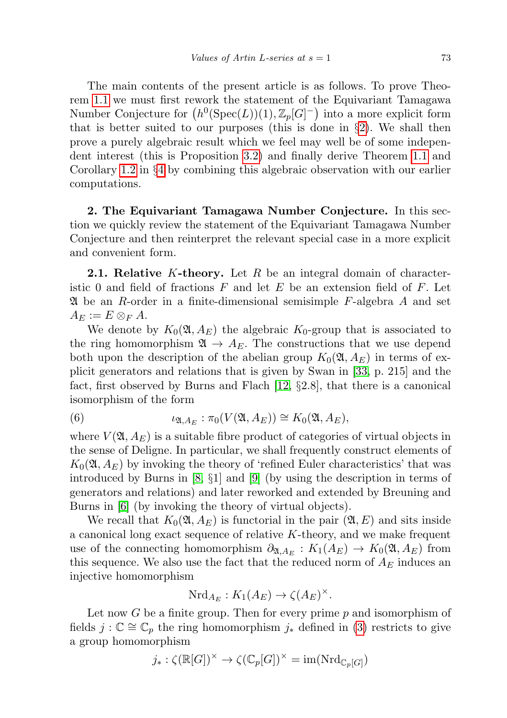The main contents of the present article is as follows. To prove Theorem [1.1](#page-2-0) we must first rework the statement of the Equivariant Tamagawa Number Conjecture for  $(h^0(\text{Spec}(L))(1), \mathbb{Z}_p[G]^-)$  into a more explicit form that is better suited to our purposes (this is done in  $\S$ [2\)](#page-6-0). We shall then prove a purely algebraic result which we feel may well be of some independent interest (this is Proposition [3.2\)](#page-17-0) and finally derive Theorem [1.1](#page-2-0) and Corollary [1.2](#page-3-0) in §[4](#page-21-0) by combining this algebraic observation with our earlier computations.

<span id="page-6-0"></span>2. The Equivariant Tamagawa Number Conjecture. In this section we quickly review the statement of the Equivariant Tamagawa Number Conjecture and then reinterpret the relevant special case in a more explicit and convenient form.

**2.1. Relative** K-theory. Let R be an integral domain of characteristic 0 and field of fractions  $F$  and let  $E$  be an extension field of  $F$ . Let  $\mathfrak A$  be an R-order in a finite-dimensional semisimple F-algebra A and set  $A_E := E \otimes_F A$ .

We denote by  $K_0(\mathfrak{A}, A_E)$  the algebraic  $K_0$ -group that is associated to the ring homomorphism  $\mathfrak{A} \to A_E$ . The constructions that we use depend both upon the description of the abelian group  $K_0(\mathfrak{A}, A_E)$  in terms of explicit generators and relations that is given by Swan in [\[33,](#page-26-12) p. 215] and the fact, first observed by Burns and Flach [\[12,](#page-25-0) §2.8], that there is a canonical isomorphism of the form

<span id="page-6-1"></span>(6) 
$$
\iota_{\mathfrak{A},A_E}:\pi_0(V(\mathfrak{A},A_E))\cong K_0(\mathfrak{A},A_E),
$$

where  $V(\mathfrak{A}, A_E)$  is a suitable fibre product of categories of virtual objects in the sense of Deligne. In particular, we shall frequently construct elements of  $K_0(\mathfrak{A}, A_F)$  by invoking the theory of 'refined Euler characteristics' that was introduced by Burns in [\[8,](#page-25-13) §1] and [\[9\]](#page-25-14) (by using the description in terms of generators and relations) and later reworked and extended by Breuning and Burns in [\[6\]](#page-25-15) (by invoking the theory of virtual objects).

We recall that  $K_0(\mathfrak{A}, A_E)$  is functorial in the pair  $(\mathfrak{A}, E)$  and sits inside a canonical long exact sequence of relative  $K$ -theory, and we make frequent use of the connecting homomorphism  $\partial_{\mathfrak{A},A_E}: K_1(A_E) \to K_0(\mathfrak{A},A_E)$  from this sequence. We also use the fact that the reduced norm of  $A_E$  induces an injective homomorphism

$$
\mathrm{Nrd}_{A_E}: K_1(A_E) \to \zeta(A_E)^\times.
$$

Let now  $G$  be a finite group. Then for every prime  $p$  and isomorphism of fields  $j: \mathbb{C} \cong \mathbb{C}_p$  the ring homomorphism  $j_*$  defined in [\(3\)](#page-2-1) restricts to give a group homomorphism

$$
j_*: \zeta(\mathbb{R}[G])^\times \to \zeta(\mathbb{C}_p[G])^\times = \text{im}(\text{Nrd}_{\mathbb{C}_p[G]})
$$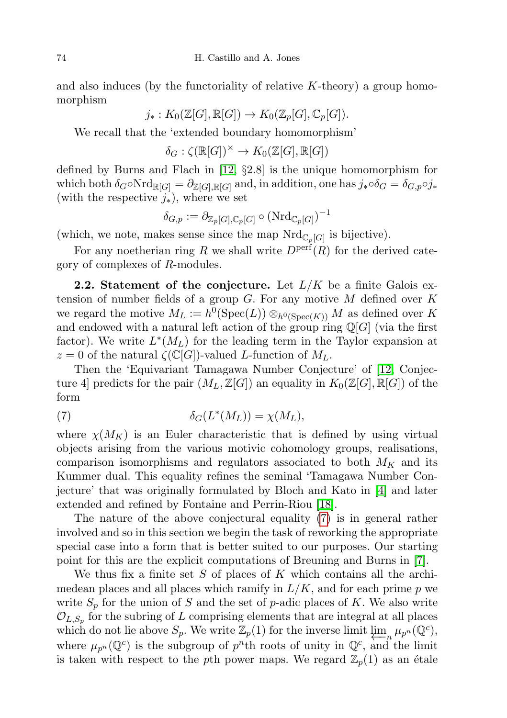and also induces (by the functoriality of relative  $K$ -theory) a group homomorphism

$$
j_*: K_0(\mathbb{Z}[G], \mathbb{R}[G]) \to K_0(\mathbb{Z}_p[G], \mathbb{C}_p[G]).
$$

We recall that the 'extended boundary homomorphism'

 $\delta_G : \zeta(\mathbb{R}[G])^\times \to K_0(\mathbb{Z}[G], \mathbb{R}[G])$ 

defined by Burns and Flach in [\[12,](#page-25-0) §2.8] is the unique homomorphism for which both  $\delta_G \circ \mathrm{Nrd}_{\mathbb{R}[G]} = \partial_{\mathbb{Z}[G],\mathbb{R}[G]}$  and, in addition, one has  $j_* \circ \delta_G = \delta_{G,p} \circ j_*$ (with the respective  $j_$ <sup>\*</sup>), where we set

$$
\delta_{G,p}:=\partial_{\mathbb{Z}_p[G],\mathbb{C}_p[G]}\circ(\mathrm{Nrd}_{\mathbb{C}_p[G]})^{-1}
$$

(which, we note, makes sense since the map  $Nrd_{\mathbb{C}_p[G]}$  is bijective).

For any noetherian ring R we shall write  $D<sup>perf</sup>(R)$  for the derived category of complexes of R-modules.

**2.2.** Statement of the conjecture. Let  $L/K$  be a finite Galois extension of number fields of a group  $G$ . For any motive  $M$  defined over  $K$ we regard the motive  $M_L := h^0(\text{Spec}(L)) \otimes_{h^0(\text{Spec}(K))} M$  as defined over K and endowed with a natural left action of the group ring  $\mathbb{Q}[G]$  (via the first factor). We write  $L^*(M_L)$  for the leading term in the Taylor expansion at  $z = 0$  of the natural  $\zeta(\mathbb{C}[G])$ -valued L-function of  $M_L$ .

Then the 'Equivariant Tamagawa Number Conjecture' of [\[12,](#page-25-0) Conjecture 4 predicts for the pair  $(M_L, \mathbb{Z}[G])$  an equality in  $K_0(\mathbb{Z}[G], \mathbb{R}[G])$  of the form

<span id="page-7-0"></span>(7) 
$$
\delta_G(L^*(M_L)) = \chi(M_L),
$$

where  $\chi(M_K)$  is an Euler characteristic that is defined by using virtual objects arising from the various motivic cohomology groups, realisations, comparison isomorphisms and regulators associated to both  $M_K$  and its Kummer dual. This equality refines the seminal 'Tamagawa Number Conjecture' that was originally formulated by Bloch and Kato in [\[4\]](#page-25-16) and later extended and refined by Fontaine and Perrin-Riou [\[18\]](#page-25-17).

The nature of the above conjectural equality [\(7\)](#page-7-0) is in general rather involved and so in this section we begin the task of reworking the appropriate special case into a form that is better suited to our purposes. Our starting point for this are the explicit computations of Breuning and Burns in [\[7\]](#page-25-6).

We thus fix a finite set S of places of K which contains all the archimedean places and all places which ramify in  $L/K$ , and for each prime p we write  $S_p$  for the union of S and the set of p-adic places of K. We also write  $\mathcal{O}_{L,S_p}$  for the subring of L comprising elements that are integral at all places which do not lie above  $S_p$ . We write  $\mathbb{Z}_p(1)$  for the inverse limit  $\varprojlim_n \mu_{p^n}(\mathbb{Q}^c)$ , where  $\mu_{p^n}(\mathbb{Q}^c)$  is the subgroup of  $p^n$ th roots of unity in  $\mathbb{Q}^c$ , and the limit is taken with respect to the pth power maps. We regard  $\mathbb{Z}_p(1)$  as an étale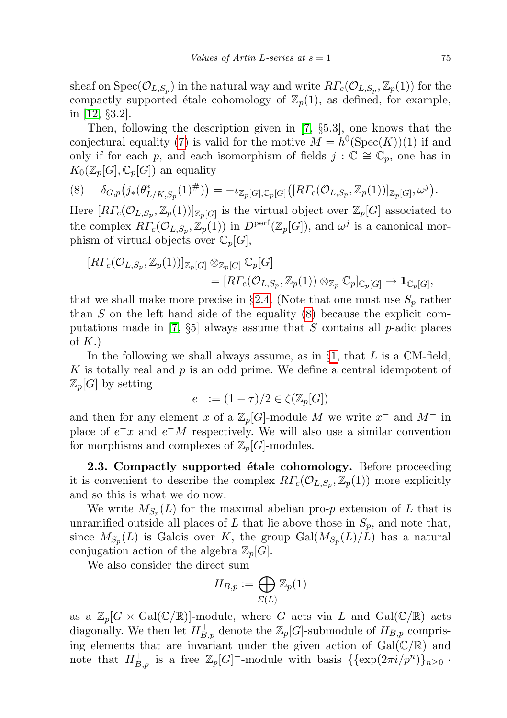sheaf on  $Spec(\mathcal{O}_{L,S_p})$  in the natural way and write  $R\Gamma_c(\mathcal{O}_{L,S_p}, \mathbb{Z}_p(1))$  for the compactly supported étale cohomology of  $\mathbb{Z}_p(1)$ , as defined, for example, in [\[12,](#page-25-0) §3.2].

Then, following the description given in [\[7,](#page-25-6) §5.3], one knows that the conjectural equality [\(7\)](#page-7-0) is valid for the motive  $M = h^0(\text{Spec}(K))(1)$  if and only if for each p, and each isomorphism of fields  $j : \mathbb{C} \cong \mathbb{C}_p$ , one has in  $K_0(\mathbb{Z}_p[G], \mathbb{C}_p[G])$  an equality

<span id="page-8-0"></span>
$$
(8) \qquad \delta_{G,p}\big(j_*(\theta_{L/K,S_p}^*(1)^\#)\big) = -\iota_{\mathbb{Z}_p[G],\mathbb{C}_p[G]}\big([R\Gamma_c(\mathcal{O}_{L,S_p},\mathbb{Z}_p(1))]_{\mathbb{Z}_p[G]},\omega^j\big).
$$

Here  $[RT_c(\mathcal{O}_{L,S_p}, \mathbb{Z}_p(1))]_{\mathbb{Z}_p[G]}$  is the virtual object over  $\mathbb{Z}_p[G]$  associated to the complex  $R\Gamma_c(\mathcal{O}_{L,S_p}, \mathbb{Z}_p(1))$  in  $D^{\text{perf}}(\mathbb{Z}_p[G]),$  and  $\omega^j$  is a canonical morphism of virtual objects over  $\mathbb{C}_p[G]$ ,

$$
[R\Gamma_c(\mathcal{O}_{L,S_p},\mathbb{Z}_p(1))]_{\mathbb{Z}_p[G]}\otimes_{\mathbb{Z}_p[G]} \mathbb{C}_p[G] = [R\Gamma_c(\mathcal{O}_{L,S_p},\mathbb{Z}_p(1))\otimes_{\mathbb{Z}_p} \mathbb{C}_p]_{\mathbb{C}_p[G]} \to \mathbf{1}_{\mathbb{C}_p[G]},
$$

that we shall make more precise in §[2.4.](#page-10-0) (Note that one must use  $S_p$  rather than  $S$  on the left hand side of the equality  $(8)$  because the explicit com-putations made in [\[7,](#page-25-6)  $\S5$ ] always assume that S contains all p-adic places of  $K$ .)

In the following we shall always assume, as in  $\S1$ , that L is a CM-field, K is totally real and  $p$  is an odd prime. We define a central idempotent of  $\mathbb{Z}_p[G]$  by setting

$$
e^- := (1 - \tau)/2 \in \zeta(\mathbb{Z}_p[G])
$$

and then for any element x of a  $\mathbb{Z}_p[G]$ -module M we write  $x^-$  and  $M^-$  in place of  $e^-x$  and  $e^-M$  respectively. We will also use a similar convention for morphisms and complexes of  $\mathbb{Z}_p[G]$ -modules.

2.3. Compactly supported étale cohomology. Before proceeding it is convenient to describe the complex  $R\Gamma_c(\mathcal{O}_{L,S_p}, \mathbb{Z}_p(1))$  more explicitly and so this is what we do now.

We write  $M_{S_p}(L)$  for the maximal abelian pro-p extension of L that is unramified outside all places of L that lie above those in  $S_p$ , and note that, since  $M_{S_p}(L)$  is Galois over K, the group  $Gal(M_{S_p}(L)/L)$  has a natural conjugation action of the algebra  $\mathbb{Z}_p[G]$ .

We also consider the direct sum

$$
H_{B,p} := \bigoplus_{\Sigma(L)} \mathbb{Z}_p(1)
$$

as a  $\mathbb{Z}_p[G \times \text{Gal}(\mathbb{C}/\mathbb{R})]$ -module, where G acts via L and  $\text{Gal}(\mathbb{C}/\mathbb{R})$  acts diagonally. We then let  $H_{B,p}^+$  denote the  $\mathbb{Z}_p[G]$ -submodule of  $H_{B,p}$  comprising elements that are invariant under the given action of  $Gal(\mathbb{C}/\mathbb{R})$  and note that  $H_{B,p}^+$  is a free  $\mathbb{Z}_p[G]$ <sup>-</sup>-module with basis  $\{\{\exp(2\pi i/p^n)\}_{n\geq 0}$ .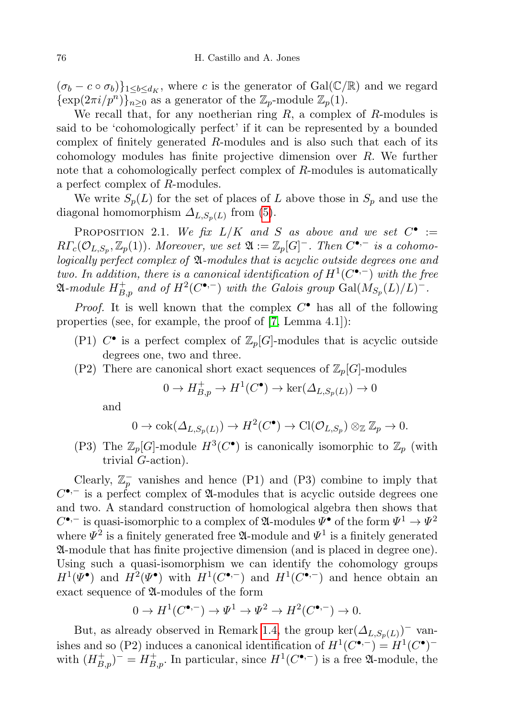$(\sigma_b - c \circ \sigma_b)\}_{1 \leq b \leq d_K}$ , where c is the generator of Gal( $\mathbb{C}/\mathbb{R}$ ) and we regard  $\{\exp(2\pi i/p^n)\}_{n\geq 0}$  as a generator of the  $\mathbb{Z}_p$ -module  $\mathbb{Z}_p(1)$ .

We recall that, for any noetherian ring  $R$ , a complex of  $R$ -modules is said to be 'cohomologically perfect' if it can be represented by a bounded complex of finitely generated  $R$ -modules and is also such that each of its cohomology modules has finite projective dimension over R. We further note that a cohomologically perfect complex of R-modules is automatically a perfect complex of R-modules.

We write  $S_p(L)$  for the set of places of L above those in  $S_p$  and use the diagonal homomorphism  $\Delta_{L,S_p(L)}$  from [\(5\)](#page-4-1).

<span id="page-9-0"></span>PROPOSITION 2.1. We fix  $L/K$  and S as above and we set  $C^{\bullet}$  :=  $R\Gamma_c(\mathcal{O}_{L,S_p}, \mathbb{Z}_p(1))$ . Moreover, we set  $\mathfrak{A} := \mathbb{Z}_p[G]$ <sup>-</sup>. Then  $C^{\bullet,-}$  is a cohomologically perfect complex of A-modules that is acyclic outside degrees one and two. In addition, there is a canonical identification of  $H^1(\mathcal{C}^{\bullet,-})$  with the free  $\mathfrak{A}\text{-module } H_{B,p}^+$  and of  $H^2(C^{\bullet,-})$  with the Galois group  $\mathrm{Gal}(M_{S_p}(L)/L)^-$ .

*Proof.* It is well known that the complex  $C^{\bullet}$  has all of the following properties (see, for example, the proof of [\[7,](#page-25-6) Lemma 4.1]):

- (P1)  $C^{\bullet}$  is a perfect complex of  $\mathbb{Z}_p[G]$ -modules that is acyclic outside degrees one, two and three.
- (P2) There are canonical short exact sequences of  $\mathbb{Z}_p[G]$ -modules

$$
0 \to H_{B,p}^+ \to H^1(C^{\bullet}) \to \ker(\Delta_{L,S_p(L)}) \to 0
$$

and

$$
0 \to \text{cok}(\Delta_{L,S_p(L)}) \to H^2(C^{\bullet}) \to \text{Cl}(\mathcal{O}_{L,S_p}) \otimes_{\mathbb{Z}} \mathbb{Z}_p \to 0.
$$

(P3) The  $\mathbb{Z}_p[G]$ -module  $H^3(C^{\bullet})$  is canonically isomorphic to  $\mathbb{Z}_p$  (with trivial G-action).

Clearly,  $\mathbb{Z}_p^-$  vanishes and hence (P1) and (P3) combine to imply that  $C^{\bullet,-}$  is a perfect complex of  $\mathfrak A$ -modules that is acyclic outside degrees one and two. A standard construction of homological algebra then shows that  $C^{\bullet,-}$  is quasi-isomorphic to a complex of  $\mathfrak A$ -modules  $\varPsi^{\bullet}$  of the form  $\varPsi^1\to\varPsi^2$ where  $\Psi^2$  is a finitely generated free  $\mathfrak{A}\text{-module}$  and  $\Psi^1$  is a finitely generated A-module that has finite projective dimension (and is placed in degree one). Using such a quasi-isomorphism we can identify the cohomology groups  $H^1(\Psi^{\bullet})$  and  $H^2(\Psi^{\bullet})$  with  $H^1(C^{\bullet,-})$  and  $H^1(C^{\bullet,-})$  and hence obtain an exact sequence of A-modules of the form

$$
0 \to H^1(C^{\bullet,-}) \to \Psi^1 \to \Psi^2 \to H^2(C^{\bullet,-}) \to 0.
$$

But, as already observed in Remark [1.4,](#page-4-0) the group  $\ker(\Delta_{L,S_p(L)})$ <sup>-</sup> vanishes and so (P2) induces a canonical identification of  $H^1(C^{\bullet,-}) = H^1(C^{\bullet})^$ with  $(H_{B,p}^+)$ <sup>-</sup> =  $H_{B,p}^+$ . In particular, since  $H^1(C^{\bullet,-})$  is a free  $\mathfrak{A}$ -module, the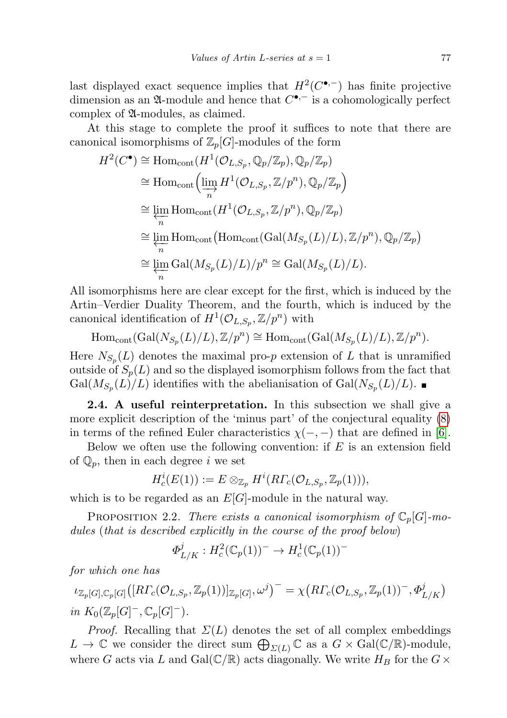last displayed exact sequence implies that  $H^2(C^{\bullet,-})$  has finite projective dimension as an  $\mathfrak A$ -module and hence that  $C^{\bullet,-}$  is a cohomologically perfect complex of A-modules, as claimed.

At this stage to complete the proof it suffices to note that there are canonical isomorphisms of  $\mathbb{Z}_p[G]$ -modules of the form

$$
H^{2}(C^{\bullet}) \cong \text{Hom}_{\text{cont}}(H^{1}(\mathcal{O}_{L,S_{p}}, \mathbb{Q}_{p}/\mathbb{Z}_{p}), \mathbb{Q}_{p}/\mathbb{Z}_{p})
$$
  
\n
$$
\cong \text{Hom}_{\text{cont}}\Big(\varinjlim_{n} H^{1}(\mathcal{O}_{L,S_{p}}, \mathbb{Z}/p^{n}), \mathbb{Q}_{p}/\mathbb{Z}_{p}\Big)
$$
  
\n
$$
\cong \varprojlim_{n} \text{Hom}_{\text{cont}}(H^{1}(\mathcal{O}_{L,S_{p}}, \mathbb{Z}/p^{n}), \mathbb{Q}_{p}/\mathbb{Z}_{p})
$$
  
\n
$$
\cong \varprojlim_{n} \text{Hom}_{\text{cont}}(\text{Hom}_{\text{cont}}(\text{Gal}(M_{S_{p}}(L)/L), \mathbb{Z}/p^{n}), \mathbb{Q}_{p}/\mathbb{Z}_{p})
$$
  
\n
$$
\cong \varprojlim_{n} \text{Gal}(M_{S_{p}}(L)/L)/p^{n} \cong \text{Gal}(M_{S_{p}}(L)/L).
$$

All isomorphisms here are clear except for the first, which is induced by the Artin–Verdier Duality Theorem, and the fourth, which is induced by the canonical identification of  $H^1(\mathcal{O}_{L,S_p}, \mathbb{Z}/p^n)$  with

$$
\mathrm{Hom}_{\mathrm{cont}}(\mathrm{Gal}(N_{S_p}(L)/L),\mathbb{Z}/p^n) \cong \mathrm{Hom}_{\mathrm{cont}}(\mathrm{Gal}(M_{S_p}(L)/L),\mathbb{Z}/p^n).
$$

Here  $N_{S_p}(L)$  denotes the maximal pro-p extension of L that is unramified outside of  $S_p(L)$  and so the displayed isomorphism follows from the fact that  $Gal(M_{S_p}(L)/L)$  identifies with the abelianisation of  $Gal(N_{S_p}(L)/L)$ .

<span id="page-10-0"></span>2.4. A useful reinterpretation. In this subsection we shall give a more explicit description of the 'minus part' of the conjectural equality [\(8\)](#page-8-0) in terms of the refined Euler characteristics  $\chi(-, -)$  that are defined in [\[6\]](#page-25-15).

Below we often use the following convention: if  $E$  is an extension field of  $\mathbb{Q}_p$ , then in each degree *i* we set

$$
H^i_c(E(1)):=E\otimes_{{\mathbb Z}_p} H^i(R\varGamma_c({\mathcal{O}}_{L,S_p},{\mathbb Z}_p(1))),
$$

which is to be regarded as an  $E[G]$ -module in the natural way.

<span id="page-10-1"></span>PROPOSITION 2.2. There exists a canonical isomorphism of  $\mathbb{C}_p[G]$ -modules (that is described explicitly in the course of the proof below)

$$
\Phi_{L/K}^j: H_c^2(\mathbb{C}_p(1))^- \to H_c^1(\mathbb{C}_p(1))^-
$$

for which one has

 $\iota_{\mathbb{Z}_p[G],\mathbb{C}_p[G]}([R\Gamma_c(\mathcal{O}_{L,S_p},\mathbb{Z}_p(1))]_{\mathbb{Z}_p[G]},\omega^j)^{-} = \chi\big(R\Gamma_c(\mathcal{O}_{L,S_p},\mathbb{Z}_p(1))^{-},\Phi^j_{L/K}\big)$ in  $K_0(\mathbb{Z}_p[G]^-,\mathbb{C}_p[G]^-).$ 

*Proof.* Recalling that  $\Sigma(L)$  denotes the set of all complex embeddings  $L \to \mathbb{C}$  we consider the direct sum  $\bigoplus_{\Sigma(L)} \mathbb{C}$  as a  $G \times \text{Gal}(\mathbb{C}/\mathbb{R})$ -module, where G acts via L and Gal( $\mathbb{C}/\mathbb{R}$ ) acts diagonally. We write  $H_B$  for the  $G \times$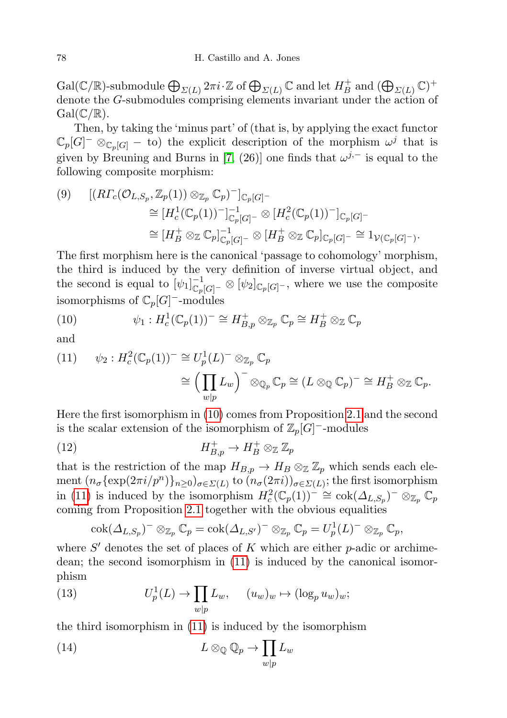$\mathrm{Gal}(\mathbb{C}/\mathbb{R})\text{-submodule} \bigoplus_{\varSigma(L)} 2\pi i \!\cdot\! \mathbb{Z}$  of  $\bigoplus_{\varSigma(L)} \mathbb{C}$  and let  $H^+_B$  $\mathcal{L}_B^+$  and  $(\bigoplus_{\varSigma(L)} \mathbb{C})^+$ denote the G-submodules comprising elements invariant under the action of  $Gal(\mathbb{C}/\mathbb{R}).$ 

Then, by taking the 'minus part' of (that is, by applying the exact functor  $\mathbb{C}_p[G]^- \otimes_{\mathbb{C}_p[G]} -$  to) the explicit description of the morphism  $\omega^j$  that is given by Breuning and Burns in [\[7,](#page-25-6) (26)] one finds that  $\omega^{j,-}$  is equal to the following composite morphism:

<span id="page-11-2"></span>
$$
(9) \quad [(R\Gamma_c(\mathcal{O}_{L,S_p}, \mathbb{Z}_p(1)) \otimes_{\mathbb{Z}_p} \mathbb{C}_p)^-]_{\mathbb{C}_p[G]} -
$$
  
\n
$$
\cong [H_c^1(\mathbb{C}_p(1))^-]_{\mathbb{C}_p[G]}^{-1} \otimes [H_c^2(\mathbb{C}_p(1))^-]_{\mathbb{C}_p[G]} -
$$
  
\n
$$
\cong [H_B^+ \otimes_{\mathbb{Z}} \mathbb{C}_p]_{\mathbb{C}_p[G]}^{-1} \otimes [H_B^+ \otimes_{\mathbb{Z}} \mathbb{C}_p]_{\mathbb{C}_p[G]} - \cong 1_{\mathcal{V}(\mathbb{C}_p[G]} -)
$$

The first morphism here is the canonical 'passage to cohomology' morphism, the third is induced by the very definition of inverse virtual object, and the second is equal to  $[\psi_1]_{\mathbb{C}_p[G]}^{-1} \otimes [\psi_2]_{\mathbb{C}_p[G]}$ , where we use the composite isomorphisms of  $\mathbb{C}_p[G]$ <sup>-</sup>-modules

.

<span id="page-11-0"></span>(10) 
$$
\psi_1: H_c^1(\mathbb{C}_p(1))^-\cong H_{B,p}^+\otimes_{\mathbb{Z}_p}\mathbb{C}_p\cong H_B^+\otimes_{\mathbb{Z}}\mathbb{C}_p
$$

and

<span id="page-11-1"></span>(11) 
$$
\psi_2: H_c^2(\mathbb{C}_p(1))^-\cong U_p^1(L)^-\otimes_{\mathbb{Z}_p}\mathbb{C}_p
$$

$$
\cong \left(\prod_{w|p}L_w\right)^-\otimes_{\mathbb{Q}_p}\mathbb{C}_p\cong (L\otimes_{\mathbb{Q}}\mathbb{C}_p)^-\cong H_B^+\otimes_{\mathbb{Z}}\mathbb{C}_p.
$$

Here the first isomorphism in [\(10\)](#page-11-0) comes from Proposition [2.1](#page-9-0) and the second is the scalar extension of the isomorphism of  $\mathbb{Z}_p[G]$ <sup>-</sup>-modules

(12) 
$$
H^+_{B,p} \to H^+_B \otimes_{\mathbb{Z}} \mathbb{Z}_p
$$

that is the restriction of the map  $H_{B,p} \to H_B \otimes_{\mathbb{Z}} \mathbb{Z}_p$  which sends each element  $(n_{\sigma}\{\exp(2\pi i/p^n)\}_{n\geq 0})_{\sigma\in \Sigma(L)}$  to  $(n_{\sigma}(2\pi i))_{\sigma\in \Sigma(L)}$ ; the first isomorphism in [\(11\)](#page-11-1) is induced by the isomorphism  $H_c^2(\mathbb{C}_p(1))^- \cong \text{cok}(\Delta_{L,S_p})^- \otimes_{\mathbb{Z}_p} \mathbb{C}_p$ coming from Proposition [2.1](#page-9-0) together with the obvious equalities

<span id="page-11-3"></span>
$$
\mathrm{cok}(\varDelta_{L,S_p})^-\otimes_{\mathbb{Z}_p}\mathbb{C}_p=\mathrm{cok}(\varDelta_{L,S'})^-\otimes_{\mathbb{Z}_p}\mathbb{C}_p=U_p^1(L)^-\otimes_{\mathbb{Z}_p}\mathbb{C}_p,
$$

where  $S'$  denotes the set of places of  $K$  which are either  $p$ -adic or archimedean; the second isomorphism in [\(11\)](#page-11-1) is induced by the canonical isomorphism

(13) 
$$
U_p^1(L) \to \prod_{w|p} L_w, \quad (u_w)_w \mapsto (\log_p u_w)_w;
$$

the third isomorphism in [\(11\)](#page-11-1) is induced by the isomorphism

(14) 
$$
L \otimes_{\mathbb{Q}} \mathbb{Q}_p \to \prod_{w|p} L_w
$$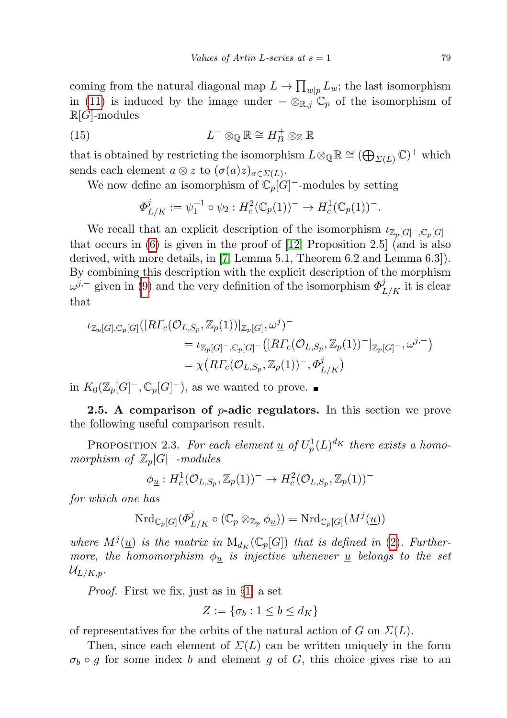coming from the natural diagonal map  $L \to \prod_{w|p} L_w$ ; the last isomorphism in [\(11\)](#page-11-1) is induced by the image under  $-\otimes_{\mathbb{R},j}\mathbb{C}_p$  of the isomorphism of  $\mathbb{R}[G]$ -modules

(15) 
$$
L^{-} \otimes_{\mathbb{Q}} \mathbb{R} \cong H_{B}^{+} \otimes_{\mathbb{Z}} \mathbb{R}
$$

that is obtained by restricting the isomorphism  $L \otimes_{\mathbb{Q}} \mathbb{R} \cong (\bigoplus_{\varSigma(L)} \mathbb{C})^+$  which sends each element  $a \otimes z$  to  $(\sigma(a)z)_{\sigma \in \Sigma(L)}$ .

We now define an isomorphism of  $\mathbb{C}_p[G]$ <sup>-</sup>-modules by setting

$$
\Phi_{L/K}^j := \psi_1^{-1} \circ \psi_2 : H_c^2(\mathbb{C}_p(1))^- \to H_c^1(\mathbb{C}_p(1))^-.
$$

We recall that an explicit description of the isomorphism  $\iota_{\mathbb{Z}_p[G]^-,\mathbb{C}_p[G]}$ that occurs in [\(6\)](#page-6-1) is given in the proof of [\[12,](#page-25-0) Proposition 2.5] (and is also derived, with more details, in [\[7,](#page-25-6) Lemma 5.1, Theorem 6.2 and Lemma 6.3]). By combining this description with the explicit description of the morphism  $\omega^{j,-}$  given in [\(9\)](#page-11-2) and the very definition of the isomorphism  $\Phi^j_{L/K}$  it is clear that

$$
\iota_{\mathbb{Z}_p[G],\mathbb{C}_p[G]}([R\Gamma_c(\mathcal{O}_{L,S_p},\mathbb{Z}_p(1))]_{\mathbb{Z}_p[G]},\omega^j)^-
$$
  
=  $\iota_{\mathbb{Z}_p[G]^-,\mathbb{C}_p[G]}(-\big[R\Gamma_c(\mathcal{O}_{L,S_p},\mathbb{Z}_p(1))^-\big]_{\mathbb{Z}_p[G]^-},\omega^{j,-}\big)$   
=  $\chi\big(R\Gamma_c(\mathcal{O}_{L,S_p},\mathbb{Z}_p(1))^-, \Phi^j_{L/K}\big)$ 

in  $K_0(\mathbb{Z}_p[G]^-,\mathbb{C}_p[G]^-)$ , as we wanted to prove.

**2.5.** A comparison of  $p$ -adic regulators. In this section we prove the following useful comparison result.

<span id="page-12-0"></span>PROPOSITION 2.3. For each element  $\underline{u}$  of  $U_p^1(L)^{d_K}$  there exists a homomorphism of  $\mathbb{Z}_p[G]$ <sup>-</sup>-modules

$$
\phi_{\underline{u}}: H^1_c(\mathcal{O}_{L,S_p}, \mathbb{Z}_p(1))^- \to H^2_c(\mathcal{O}_{L,S_p}, \mathbb{Z}_p(1))^-
$$

for which one has

$$
\mathrm{Nrd}_{\mathbb{C}_p[G]}(\Phi^j_{L/K} \circ (\mathbb{C}_p \otimes_{\mathbb{Z}_p} \phi_{\underline{u}})) = \mathrm{Nrd}_{\mathbb{C}_p[G]}(M^j(\underline{u}))
$$

where  $M^{j}(\underline{u})$  is the matrix in  $M_{d_K}(\mathbb{C}_p[G])$  that is defined in [\(2\)](#page-1-0). Furthermore, the homomorphism  $\phi_u$  is injective whenever <u>u</u> belongs to the set  $U_{L/K,p}.$ 

Proof. First we fix, just as in §[1,](#page-0-0) a set

$$
Z := \{ \sigma_b : 1 \le b \le d_K \}
$$

of representatives for the orbits of the natural action of G on  $\Sigma(L)$ .

Then, since each element of  $\Sigma(L)$  can be written uniquely in the form  $\sigma_b \circ g$  for some index b and element g of G, this choice gives rise to an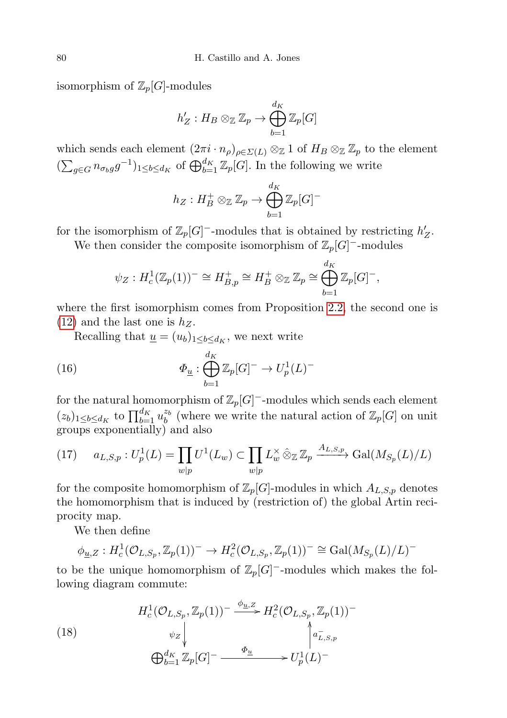isomorphism of  $\mathbb{Z}_p[G]$ -modules

$$
h'_Z: H_B \otimes_{\mathbb{Z}} \mathbb{Z}_p \to \bigoplus_{b=1}^{d_K} \mathbb{Z}_p[G]
$$

which sends each element  $(2\pi i \cdot n_\rho)_{\rho \in \Sigma(L)} \otimes_{\mathbb{Z}} 1$  of  $H_B \otimes_{\mathbb{Z}} \mathbb{Z}_p$  to the element  $(\sum_{g \in G} n_{\sigma_b g} g^{-1})_{1 \leq b \leq d_K}$  of  $\bigoplus_{b=1}^{d_K} \mathbb{Z}_p[G]$ . In the following we write

$$
h_Z: H_B^+ \otimes_{\mathbb{Z}} \mathbb{Z}_p \rightarrow \bigoplus_{b=1}^{d_K} \mathbb{Z}_p[G]^-
$$

for the isomorphism of  $\mathbb{Z}_p[G]$ <sup>-</sup>-modules that is obtained by restricting  $h'_Z$ .

We then consider the composite isomorphism of  $\mathbb{Z}_p[G]$ <sup>-</sup>-modules

$$
\psi_Z: H^1_c(\mathbb{Z}_p(1))^-\cong H^+_{B,p}\cong H^+_B\otimes_{\mathbb{Z}} \mathbb{Z}_p\cong \bigoplus_{b=1}^{d_K} \mathbb{Z}_p[G]^-,
$$

where the first isomorphism comes from Proposition [2.2,](#page-10-1) the second one is  $(12)$  and the last one is  $h_Z$ .

<span id="page-13-0"></span>Recalling that  $\underline{u} = (u_b)_{1 \leq b \leq d_K}$ , we next write

(16) 
$$
\Phi_{\underline{u}} : \bigoplus_{b=1}^{d_K} \mathbb{Z}_p[G]^- \to U_p^1(L)^-
$$

for the natural homomorphism of  $\mathbb{Z}_p[G]$ <sup>-</sup>-modules which sends each element  $(z_b)_{1 \leq b \leq d_K}$  to  $\prod_{b=1}^{d_K} u_b^{z_b}$  (where we write the natural action of  $\mathbb{Z}_p[G]$  on unit groups exponentially) and also

<span id="page-13-1"></span>(17) 
$$
a_{L,S,p}: U_p^1(L) = \prod_{w|p} U^1(L_w) \subset \prod_{w|p} L_w^{\times} \hat{\otimes}_{\mathbb{Z}} \mathbb{Z}_p \xrightarrow{A_{L,S,p}} \text{Gal}(M_{S_p}(L)/L)
$$

for the composite homomorphism of  $\mathbb{Z}_p[G]$ -modules in which  $A_{L,S,p}$  denotes the homomorphism that is induced by (restriction of) the global Artin reciprocity map.

We then define

$$
\phi_{\underline{u},Z}: H_c^1(\mathcal{O}_{L,S_p}, \mathbb{Z}_p(1))^- \to H_c^2(\mathcal{O}_{L,S_p}, \mathbb{Z}_p(1))^- \cong \text{Gal}(M_{S_p}(L)/L)^-
$$

to be the unique homomorphism of  $\mathbb{Z}_p[G]$ <sup>-</sup>-modules which makes the following diagram commute:

<span id="page-13-2"></span>(18)  

$$
H_c^1(\mathcal{O}_{L,S_p}, \mathbb{Z}_p(1)) \xrightarrow{\phi_{\underline{u},Z}} H_c^2(\mathcal{O}_{L,S_p}, \mathbb{Z}_p(1)) \xrightarrow{\phi_Z} \begin{cases} a_{L,S_p} \\ a_{L,S_p} \end{cases}
$$

$$
\bigoplus_{b=1}^{d_K} \mathbb{Z}_p[G] \xrightarrow{\Phi_{\underline{u}}} U_p^1(L) \xrightarrow{\phi_Z}
$$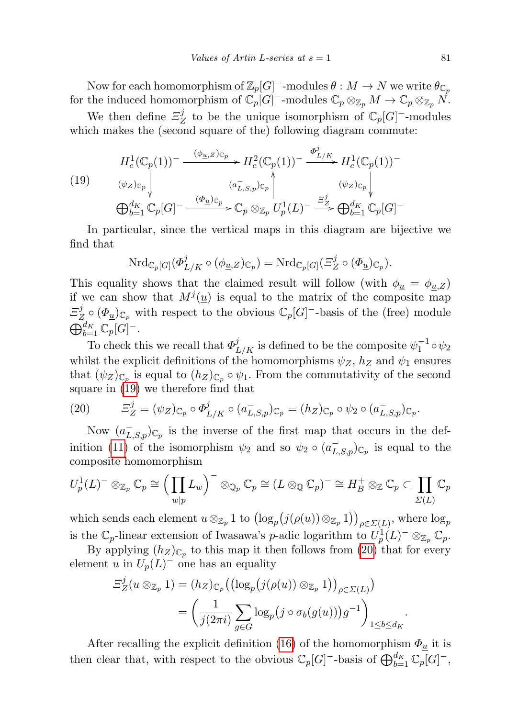Now for each homomorphism of  $\mathbb{Z}_p[G]$ <sup>-</sup>-modules  $\theta : M \to N$  we write  $\theta_{\mathbb{C}_p}$ for the induced homomorphism of  $\mathbb{C}_p[G]$ <sup>-</sup>-modules  $\mathbb{C}_p \otimes_{\mathbb{Z}_p} M \to \mathbb{C}_p \otimes_{\mathbb{Z}_p} N$ .

We then define  $\Xi_2^j$  $Z$  to be the unique isomorphism of  $\mathbb{C}_p[G]$ <sup>-</sup>-modules which makes the (second square of the) following diagram commute:

<span id="page-14-0"></span>(19)  
\n
$$
H_c^1(\mathbb{C}_p(1))^- \xrightarrow{(\phi_{\underline{u},Z})_{\mathbb{C}_p}} H_c^2(\mathbb{C}_p(1))^- \xrightarrow{\Phi_{L/K}^j} H_c^1(\mathbb{C}_p(1))^-
$$
\n
$$
(\psi_Z)_{\mathbb{C}_p} \downarrow \qquad \qquad (a_{L,S,p}^-)_{\mathbb{C}_p} \uparrow \qquad (\psi_Z)_{\mathbb{C}_p} \downarrow \qquad \qquad (\psi_Z)_{\mathbb{C}_p}
$$
\n
$$
\bigoplus_{b=1}^{d_K} \mathbb{C}_p[G]^- \xrightarrow{(\Phi_{\underline{u}})_{\mathbb{C}_p}} \mathbb{C}_p \otimes_{\mathbb{Z}_p} U_p^1(L)^- \xrightarrow{\Xi_Z^j} \bigoplus_{b=1}^{d_K} \mathbb{C}_p[G]^-
$$

In particular, since the vertical maps in this diagram are bijective we find that

$$
\mathrm{Nrd}_{\mathbb{C}_p[G]}(\varPhi^j_{L/K} \circ (\phi_{\underline{u},Z})_{\mathbb{C}_p}) = \mathrm{Nrd}_{\mathbb{C}_p[G]}(\varXi_Z^j \circ (\varPhi_{\underline{u}})_{\mathbb{C}_p}).
$$

This equality shows that the claimed result will follow (with  $\phi_u = \phi_{u,z}$ ) if we can show that  $M^{j}(\underline{u})$  is equal to the matrix of the composite map  $\Xi_2^j$  $\mathcal{L}_Z^j \circ (\Phi_{\underline{u}})_{\mathbb{C}_p}$  with respect to the obvious  $\mathbb{C}_p[G]$ <sup>-</sup>-basis of the (free) module  $\bigoplus_{b=1}^{d_K} \mathbb{C}_p[G]^-$ .

To check this we recall that  $\Phi^j_{L/K}$  is defined to be the composite  $\psi_1^{-1} \circ \psi_2$ whilst the explicit definitions of the homomorphisms  $\psi_Z$ ,  $h_Z$  and  $\psi_1$  ensures that  $(\psi_Z)_{\mathbb{C}_p}$  is equal to  $(h_Z)_{\mathbb{C}_p} \circ \psi_1$ . From the commutativity of the second square in [\(19\)](#page-14-0) we therefore find that

<span id="page-14-1"></span>(20) 
$$
\Xi_Z^j = (\psi_Z)_{\mathbb{C}_p} \circ \Phi_{L/K}^j \circ (a_{L,S,p}^-)_{\mathbb{C}_p} = (h_Z)_{\mathbb{C}_p} \circ \psi_2 \circ (a_{L,S,p}^-)_{\mathbb{C}_p}.
$$

Now  $(a_{L,S,p}^{-})_{\mathbb{C}_p}$  is the inverse of the first map that occurs in the def-inition [\(11\)](#page-11-1) of the isomorphism  $\psi_2$  and so  $\psi_2 \circ (a_{L,S,p}^-)_{\mathbb{C}_p}$  is equal to the composite homomorphism

$$
U_p^1(L)^{-} \otimes_{\mathbb{Z}_p} \mathbb{C}_p \cong \Big(\prod_{w|p} L_w\Big)^{-} \otimes_{\mathbb{Q}_p} \mathbb{C}_p \cong (L \otimes_{\mathbb{Q}} \mathbb{C}_p)^{-} \cong H_B^+ \otimes_{\mathbb{Z}} \mathbb{C}_p \subset \prod_{\Sigma(L)} \mathbb{C}_p
$$

which sends each element  $u \otimes_{\mathbb{Z}_p} 1$  to  $(\log_p(j(\rho(u)) \otimes_{\mathbb{Z}_p} 1))_{\rho \in \Sigma(L)}$ , where  $\log_p$ is the  $\mathbb{C}_p$ -linear extension of Iwasawa's p-adic logarithm to  $U_p^1(L)^{-1} \otimes_{\mathbb{Z}_p} \mathbb{C}_p$ .

By applying  $(h_Z)_{\mathbb{C}_p}$  to this map it then follows from [\(20\)](#page-14-1) that for every element u in  $U_p(L)$ <sup>-</sup> one has an equality

$$
\begin{split} \Xi_Z^j(u \otimes_{\mathbb{Z}_p} 1) &= (h_Z)_{\mathbb{C}_p} \big( \big( \log_p \big( j(\rho(u)) \otimes_{\mathbb{Z}_p} 1 \big) \big)_{\rho \in \Sigma(L)} \big) \\ &= \bigg( \frac{1}{j(2\pi i)} \sum_{g \in G} \log_p \big( j \circ \sigma_b(g(u)) \big) g^{-1} \bigg)_{1 \le b \le d_K} .\end{split}
$$

After recalling the explicit definition [\(16\)](#page-13-0) of the homomorphism  $\Phi_u$  it is then clear that, with respect to the obvious  $\mathbb{C}_p[G]$ <sup>-</sup>-basis of  $\bigoplus_{b=1}^{d_K} \mathbb{C}_p[G]$ <sup>-</sup>,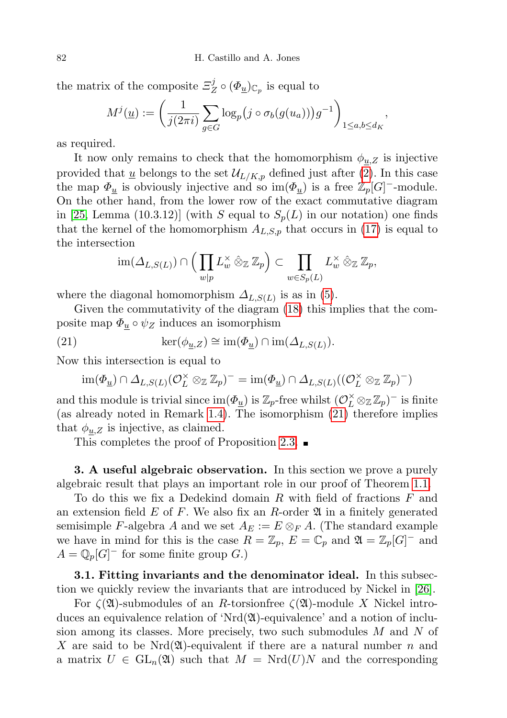the matrix of the composite  $\Xi^j_z$  $Z^{\jmath} \circ (\Phi_{\underline{u}})_{\mathbb{C}_p}$  is equal to

$$
M^{j}(\underline{u}) := \left(\frac{1}{j(2\pi i)} \sum_{g \in G} \log_p(j \circ \sigma_b(g(u_a)))g^{-1}\right)_{1 \leq a,b \leq d_K},
$$

as required.

It now only remains to check that the homomorphism  $\phi_{\underline{u},Z}$  is injective provided that  $\underline{u}$  belongs to the set  $\mathcal{U}_{L/K,p}$  defined just after [\(2\)](#page-1-0). In this case the map  $\Phi_u$  is obviously injective and so im $(\Phi_u)$  is a free  $\mathbb{Z}_p[G]$ <sup>-</sup>-module. On the other hand, from the lower row of the exact commutative diagram in [\[25,](#page-26-13) Lemma (10.3.12)] (with S equal to  $S_p(L)$  in our notation) one finds that the kernel of the homomorphism  $A_{L,S,p}$  that occurs in [\(17\)](#page-13-1) is equal to the intersection

$$
\operatorname{im}(\Delta_{L,S(L)}) \cap \left(\prod_{w|p} L_w^{\times} \hat{\otimes}_{\mathbb{Z}} \mathbb{Z}_p\right) \subset \prod_{w \in S_p(L)} L_w^{\times} \hat{\otimes}_{\mathbb{Z}} \mathbb{Z}_p,
$$

where the diagonal homomorphism  $\Delta_{L,S(L)}$  is as in [\(5\)](#page-4-1).

Given the commutativity of the diagram [\(18\)](#page-13-2) this implies that the composite map  $\Phi_u \circ \psi_Z$  induces an isomorphism

(21) 
$$
\ker(\phi_{\underline{u},Z}) \cong \operatorname{im}(\underline{\Phi}_{\underline{u}}) \cap \operatorname{im}(\Delta_{L,S(L)}).
$$

Now this intersection is equal to

<span id="page-15-1"></span>
$$
\operatorname{im}(\varPhi_{\underline{u}}) \cap \varDelta_{L,S(L)}(\mathcal{O}_{L}^{\times} \otimes_{\mathbb{Z}} \mathbb{Z}_{p})^{-} = \operatorname{im}(\varPhi_{\underline{u}}) \cap \varDelta_{L,S(L)}((\mathcal{O}_{L}^{\times} \otimes_{\mathbb{Z}} \mathbb{Z}_{p})^{-})
$$

and this module is trivial since  $\text{im}(\Phi_{\underline{u}})$  is  $\mathbb{Z}_p$ -free whilst  $(\mathcal{O}_L^{\times} \otimes_{\mathbb{Z}} \mathbb{Z}_p)^-$  is finite (as already noted in Remark [1.4\)](#page-4-0). The isomorphism [\(21\)](#page-15-1) therefore implies that  $\phi_{u,Z}$  is injective, as claimed.

This completes the proof of Proposition [2.3.](#page-12-0)  $\blacksquare$ 

**3.** A useful algebraic observation. In this section we prove a purely algebraic result that plays an important role in our proof of Theorem [1.1.](#page-2-0)

To do this we fix a Dedekind domain R with field of fractions F and an extension field  $E$  of  $F$ . We also fix an  $R$ -order  $\mathfrak A$  in a finitely generated semisimple F-algebra A and we set  $A_E := E \otimes_F A$ . (The standard example we have in mind for this is the case  $R = \mathbb{Z}_p$ ,  $E = \mathbb{C}_p$  and  $\mathfrak{A} = \mathbb{Z}_p[G]$ <sup>-</sup> and  $A = \mathbb{Q}_p[G]$ <sup>-</sup> for some finite group G.)

<span id="page-15-0"></span>3.1. Fitting invariants and the denominator ideal. In this subsection we quickly review the invariants that are introduced by Nickel in [\[26\]](#page-26-5).

For  $\zeta(\mathfrak{A})$ -submodules of an R-torsionfree  $\zeta(\mathfrak{A})$ -module X Nickel introduces an equivalence relation of 'Nrd $(\mathfrak{A})$ -equivalence' and a notion of inclusion among its classes. More precisely, two such submodules M and N of X are said to be Nrd $(\mathfrak{A})$ -equivalent if there are a natural number n and a matrix  $U \in GL_n(\mathfrak{A})$  such that  $M = Nrd(U)N$  and the corresponding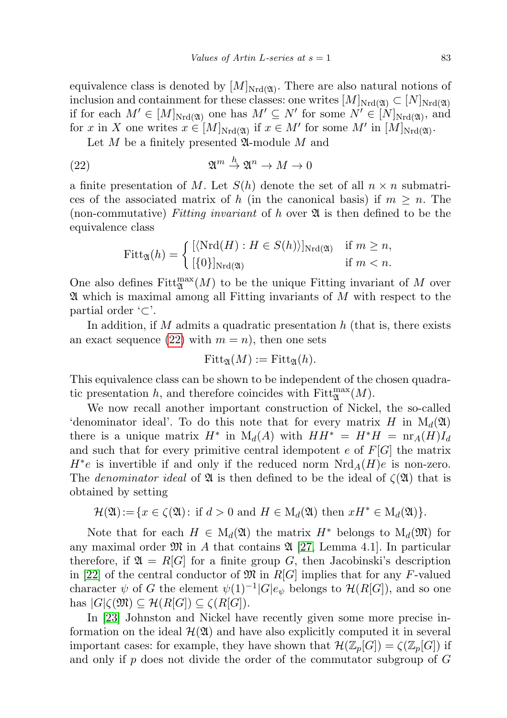equivalence class is denoted by  $[M]_{Nrd}(\mathfrak{A})$ . There are also natural notions of inclusion and containment for these classes: one writes  $[M]_{Nrd(\mathfrak{A})} \subset [N]_{Nrd(\mathfrak{A})}$ if for each  $M' \in [M]_{Nrd(\mathfrak{A})}$  one has  $M' \subseteq N'$  for some  $N' \in [N]_{Nrd(\mathfrak{A})}$ , and for x in X one writes  $x \in [M]_{Nrd(\mathfrak{A})}$  if  $x \in M'$  for some  $M'$  in  $[M]_{Nrd(\mathfrak{A})}$ .

Let  $M$  be a finitely presented  $\mathfrak{A}\text{-module }M$  and

(22) 
$$
\mathfrak{A}^m \stackrel{h}{\to} \mathfrak{A}^n \to M \to 0
$$

a finite presentation of M. Let  $S(h)$  denote the set of all  $n \times n$  submatrices of the associated matrix of h (in the canonical basis) if  $m \geq n$ . The (non-commutative) Fitting invariant of h over  $\mathfrak A$  is then defined to be the equivalence class

<span id="page-16-0"></span>
$$
Fitt_{\mathfrak{A}}(h) = \begin{cases} [\langle \mathrm{Nrd}(H) : H \in S(h) \rangle]_{\mathrm{Nrd}(\mathfrak{A})} & \text{if } m \ge n, \\ [\{0\}]_{\mathrm{Nrd}(\mathfrak{A})} & \text{if } m < n. \end{cases}
$$

One also defines  $Fitt_{\mathfrak{A}}^{\max}(M)$  to be the unique Fitting invariant of M over  $\mathfrak A$  which is maximal among all Fitting invariants of M with respect to the partial order '⊂'.

In addition, if M admits a quadratic presentation  $h$  (that is, there exists an exact sequence [\(22\)](#page-16-0) with  $m = n$ , then one sets

$$
\mathrm{Fitt}_{\mathfrak{A}}(M) := \mathrm{Fitt}_{\mathfrak{A}}(h).
$$

This equivalence class can be shown to be independent of the chosen quadratic presentation h, and therefore coincides with  $Fitt_{\mathfrak{A}}^{\max}(M)$ .

We now recall another important construction of Nickel, the so-called 'denominator ideal'. To do this note that for every matrix H in  $M_d(\mathfrak{A})$ there is a unique matrix  $H^*$  in  $M_d(A)$  with  $HH^* = H^*H = \text{nr}_A(H)I_d$ and such that for every primitive central idempotent  $e$  of  $F[G]$  the matrix  $H^*e$  is invertible if and only if the reduced norm  $Nrd_A(H)e$  is non-zero. The *denominator ideal* of  $\mathfrak{A}$  is then defined to be the ideal of  $\zeta(\mathfrak{A})$  that is obtained by setting

$$
\mathcal{H}(\mathfrak{A}) := \{ x \in \zeta(\mathfrak{A}) : \text{ if } d > 0 \text{ and } H \in M_d(\mathfrak{A}) \text{ then } xH^* \in M_d(\mathfrak{A}) \}.
$$

Note that for each  $H \in M_d(\mathfrak{A})$  the matrix  $H^*$  belongs to  $M_d(\mathfrak{M})$  for any maximal order  $\mathfrak{M}$  in A that contains  $\mathfrak{A}$  [\[27,](#page-26-8) Lemma 4.1]. In particular therefore, if  $\mathfrak{A} = R[G]$  for a finite group G, then Jacobinski's description in [\[22\]](#page-26-14) of the central conductor of  $\mathfrak{M}$  in R[G] implies that for any F-valued character  $\psi$  of G the element  $\psi(1)^{-1}|G|e_{\psi}$  belongs to  $\mathcal{H}(R[G])$ , and so one has  $|G|\zeta(\mathfrak{M}) \subseteq \mathcal{H}(R[G]) \subseteq \zeta(R[G]).$ 

In [\[23\]](#page-26-6) Johnston and Nickel have recently given some more precise information on the ideal  $\mathcal{H}(\mathfrak{A})$  and have also explicitly computed it in several important cases: for example, they have shown that  $\mathcal{H}(\mathbb{Z}_p[G]) = \zeta(\mathbb{Z}_p[G])$  if and only if  $p$  does not divide the order of the commutator subgroup of  $G$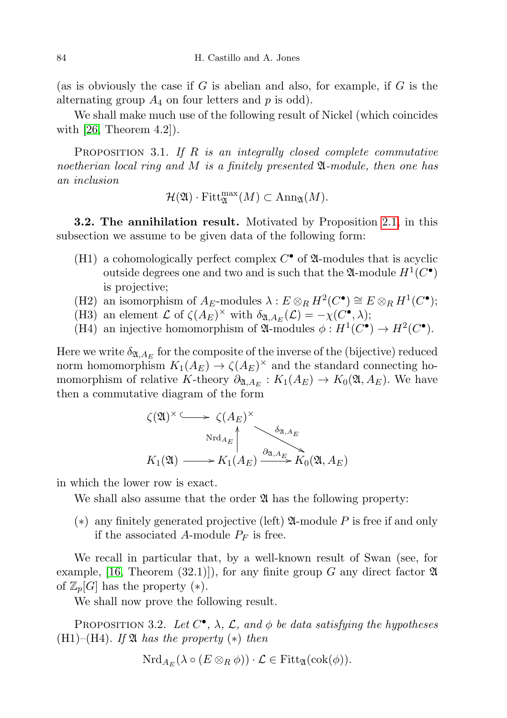(as is obviously the case if  $G$  is abelian and also, for example, if  $G$  is the alternating group  $A_4$  on four letters and p is odd).

We shall make much use of the following result of Nickel (which coincides with  $[26,$  Theorem 4.2]).

<span id="page-17-1"></span>**PROPOSITION** 3.1. If  $R$  is an integrally closed complete commutative noetherian local ring and M is a finitely presented  $\mathfrak{A}\text{-module}$ , then one has an inclusion

$$
\mathcal{H}(\mathfrak{A})\cdot \text{Fitt}_{\mathfrak{A}}^{\text{max}}(M)\subset \text{Ann}_{\mathfrak{A}}(M).
$$

<span id="page-17-2"></span>3.2. The annihilation result. Motivated by Proposition [2.1,](#page-9-0) in this subsection we assume to be given data of the following form:

- (H1) a cohomologically perfect complex  $C^{\bullet}$  of  $\mathfrak A$ -modules that is acyclic outside degrees one and two and is such that the  $\mathfrak{A}\text{-module } H^1(C^{\bullet})$ is projective;
- (H2) an isomorphism of  $A_E$ -modules  $\lambda : E \otimes_R H^2(C^{\bullet}) \cong E \otimes_R H^1(C^{\bullet});$
- (H3) an element  $\mathcal L$  of  $\zeta(A_E)^\times$  with  $\delta_{\mathfrak{A},A_E}(\mathcal{L}) = -\chi(C^\bullet,\lambda);$
- (H4) an injective homomorphism of  $\mathfrak{A}\text{-modules } \phi : H^1(C^{\bullet}) \to H^2(C^{\bullet}).$

Here we write  $\delta_{\mathfrak{A},A_E}$  for the composite of the inverse of the (bijective) reduced norm homomorphism  $K_1(A_E) \to \zeta(A_E)^\times$  and the standard connecting homomorphism of relative K-theory  $\partial_{\mathfrak{A},A_E}: K_1(A_E) \to K_0(\mathfrak{A},A_E)$ . We have then a commutative diagram of the form

$$
\zeta(\mathfrak{A})^{\times} \longrightarrow \zeta(A_E)^{\times}
$$
  
 
$$
\operatorname{Nrd}_{A_E} \downarrow \qquad \qquad \delta_{\mathfrak{A}, A_E}
$$
  
 
$$
K_1(\mathfrak{A}) \longrightarrow K_1(A_E) \xrightarrow{\partial_{\mathfrak{A}, A_E}} K_0(\mathfrak{A}, A_E)
$$

in which the lower row is exact.

We shall also assume that the order  $\mathfrak A$  has the following property:

(\*) any finitely generated projective (left)  $\mathfrak A$ -module P is free if and only if the associated A-module  $P_F$  is free.

We recall in particular that, by a well-known result of Swan (see, for example, [\[16,](#page-25-18) Theorem (32.1)]), for any finite group G any direct factor  $\mathfrak A$ of  $\mathbb{Z}_p[G]$  has the property  $(*).$ 

We shall now prove the following result.

<span id="page-17-0"></span>PROPOSITION 3.2. Let  $C^{\bullet}$ ,  $\lambda$ ,  $\mathcal{L}$ , and  $\phi$  be data satisfying the hypotheses  $(H1)-(H4)$ . If  $\mathfrak A$  has the property  $(*)$  then

$$
\mathrm{Nrd}_{A_E}(\lambda \circ (E \otimes_R \phi)) \cdot \mathcal{L} \in \mathrm{Fitt}_{\mathfrak{A}}(\mathrm{cok}(\phi)).
$$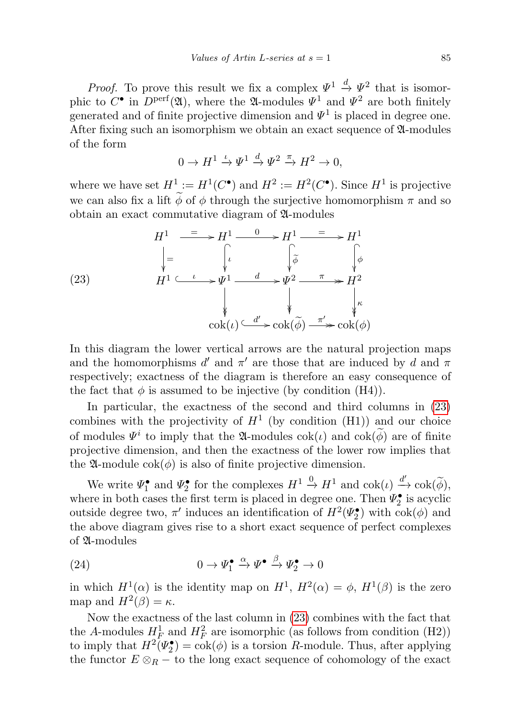*Proof.* To prove this result we fix a complex  $\Psi^1 \stackrel{d}{\to} \Psi^2$  that is isomorphic to  $C^{\bullet}$  in  $D^{\text{perf}}(\mathfrak{A})$ , where the  $\mathfrak{A}$ -modules  $\Psi^1$  and  $\Psi^2$  are both finitely generated and of finite projective dimension and  $\Psi^1$  is placed in degree one. After fixing such an isomorphism we obtain an exact sequence of  $\mathfrak A$ -modules of the form

$$
0 \to H^1 \xrightarrow{\iota} \Psi^1 \xrightarrow{d} \Psi^2 \xrightarrow{\pi} H^2 \to 0,
$$

where we have set  $H^1 := H^1(C^{\bullet})$  and  $H^2 := H^2(C^{\bullet})$ . Since  $H^1$  is projective we can also fix a lift  $\widetilde{\phi}$  of  $\phi$  through the surjective homomorphism  $\pi$  and so obtain an exact commutative diagram of A-modules

<span id="page-18-0"></span>(23) 
$$
H^{1} \xrightarrow{\phantom{1}\underline{\qquad}} H^{1} \xrightarrow{\phantom{1}\underline{\qquad}} H^{1} \xrightarrow{\phantom{1}\underline{\qquad}} H^{1} \xrightarrow{\phantom{1}\underline{\qquad}} H^{1} \xrightarrow{\phantom{1}\underline{\qquad}} H^{1}
$$
\n
$$
H^{1} \xrightarrow{\phantom{1}\underline{\qquad}} \qquad \downarrow \qquad \downarrow \qquad \downarrow \qquad \downarrow \qquad \downarrow \qquad \downarrow \qquad \downarrow \qquad \downarrow \qquad \downarrow \qquad \downarrow \qquad \downarrow \qquad \downarrow \qquad \downarrow \qquad \downarrow \qquad \downarrow \qquad \downarrow \qquad \downarrow \qquad \downarrow \qquad \downarrow \qquad \downarrow \qquad \downarrow \qquad \downarrow \qquad \downarrow \qquad \downarrow \qquad \downarrow \qquad \downarrow \qquad \downarrow \qquad \downarrow \qquad \downarrow \qquad \downarrow \qquad \downarrow \qquad \downarrow \qquad \downarrow \qquad \downarrow \qquad \downarrow \qquad \downarrow \qquad \downarrow \qquad \downarrow \qquad \downarrow \qquad \downarrow \qquad \downarrow \qquad \downarrow \qquad \downarrow \qquad \downarrow \qquad \downarrow \qquad \downarrow \qquad \downarrow \qquad \downarrow \qquad \downarrow \qquad \downarrow \qquad \downarrow \qquad \downarrow \qquad \downarrow \qquad \downarrow \qquad \downarrow \qquad \downarrow \qquad \downarrow \qquad \downarrow \qquad \downarrow \qquad \downarrow \qquad \downarrow \qquad \downarrow \qquad \downarrow \qquad \downarrow \qquad \downarrow \qquad \downarrow \qquad \downarrow \qquad \downarrow \qquad \downarrow \qquad \downarrow \qquad \downarrow \qquad \downarrow \qquad \downarrow \qquad \downarrow \qquad \downarrow \qquad \downarrow \qquad \downarrow \qquad \downarrow \qquad \downarrow \qquad \downarrow \qquad \downarrow \qquad \downarrow \qquad \downarrow \qquad \downarrow \qquad \downarrow \qquad \downarrow \qquad \downarrow \qquad \downarrow \qquad \downarrow \qquad \downarrow \qquad \downarrow \qquad \downarrow \qquad \downarrow \qquad \downarrow \qquad \downarrow \qquad \downarrow \qquad \downarrow \qquad \downarrow \qquad \downarrow \qquad \downarrow \qquad \downarrow \qquad \downarrow \qquad \downarrow \qquad \downarrow \qquad \downarrow \qquad \
$$

In this diagram the lower vertical arrows are the natural projection maps and the homomorphisms  $d'$  and  $\pi'$  are those that are induced by d and  $\pi$ respectively; exactness of the diagram is therefore an easy consequence of the fact that  $\phi$  is assumed to be injective (by condition (H4)).

In particular, the exactness of the second and third columns in [\(23\)](#page-18-0) combines with the projectivity of  $H^1$  (by condition (H1)) and our choice of modules  $\Psi^i$  to imply that the  $\mathfrak{A}$ -modules  $\operatorname{cok}(\iota)$  and  $\operatorname{cok}(\vec{\phi})$  are of finite projective dimension, and then the exactness of the lower row implies that the  $\mathfrak{A}\text{-module } \text{cok}(\phi)$  is also of finite projective dimension.

We write  $\Psi_1^{\bullet}$  and  $\Psi_2^{\bullet}$  for the complexes  $H^1 \xrightarrow{0} H^1$  and  $\operatorname{cok}(\iota) \xrightarrow{d'} \operatorname{cok}(\widetilde{\phi})$ , where in both cases the first term is placed in degree one. Then  $\Psi_2^{\bullet}$  is acyclic outside degree two,  $\pi'$  induces an identification of  $H^2(\Psi_2^{\bullet})$  with  $\cosh(\phi)$  and the above diagram gives rise to a short exact sequence of perfect complexes of A-modules

<span id="page-18-1"></span>(24) 
$$
0 \to \Psi_1^{\bullet} \xrightarrow{\alpha} \Psi^{\bullet} \xrightarrow{\beta} \Psi_2^{\bullet} \to 0
$$

in which  $H^1(\alpha)$  is the identity map on  $H^1$ ,  $H^2(\alpha) = \phi$ ,  $H^1(\beta)$  is the zero map and  $H^2(\beta) = \kappa$ .

Now the exactness of the last column in [\(23\)](#page-18-0) combines with the fact that the A-modules  $H^1_F$  and  $H^2_F$  are isomorphic (as follows from condition (H2)) to imply that  $H^2(\Psi_2^{\bullet}) = \cosh(\phi)$  is a torsion R-module. Thus, after applying the functor  $E \otimes_R -$  to the long exact sequence of cohomology of the exact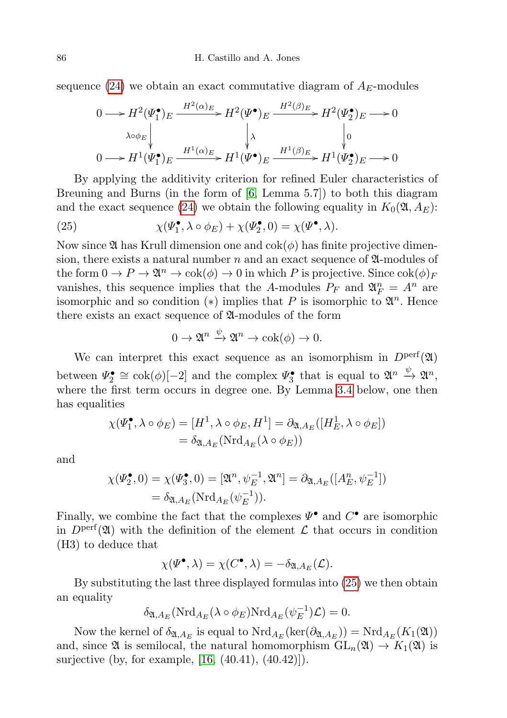sequence [\(24\)](#page-18-1) we obtain an exact commutative diagram of  $A_E$ -modules

$$
0 \longrightarrow H^{2}(\Psi_{1}^{\bullet})_{E} \xrightarrow{H^{2}(\alpha)_{E}} H^{2}(\Psi^{\bullet})_{E} \xrightarrow{H^{2}(\beta)_{E}} H^{2}(\Psi_{2}^{\bullet})_{E} \longrightarrow 0
$$
  
\n
$$
\downarrow \qquad \qquad \downarrow \qquad \qquad \downarrow 0
$$
  
\n
$$
0 \longrightarrow H^{1}(\Psi_{1}^{\bullet})_{E} \xrightarrow{H^{1}(\alpha)_{E}} H^{1}(\Psi^{\bullet})_{E} \xrightarrow{H^{1}(\beta)_{E}} H^{1}(\Psi_{2}^{\bullet})_{E} \longrightarrow 0
$$

By applying the additivity criterion for refined Euler characteristics of Breuning and Burns (in the form of  $[6, \text{Lemma } 5.7]$  $[6, \text{Lemma } 5.7]$ ) to both this diagram and the exact sequence [\(24\)](#page-18-1) we obtain the following equality in  $K_0(\mathfrak{A}, A_E)$ :

<span id="page-19-0"></span>(25) 
$$
\chi(\Psi_1^{\bullet}, \lambda \circ \phi_E) + \chi(\Psi_2^{\bullet}, 0) = \chi(\Psi^{\bullet}, \lambda).
$$

Now since  $\mathfrak A$  has Krull dimension one and  $\cosh(\phi)$  has finite projective dimension, there exists a natural number n and an exact sequence of  $\mathfrak{A}$ -modules of the form  $0 \to P \to \mathfrak{A}^n \to \mathrm{cok}(\phi) \to 0$  in which P is projective. Since  $\mathrm{cok}(\phi)_F$ vanishes, this sequence implies that the A-modules  $P_F$  and  $\mathfrak{A}_F^n = A^n$  are isomorphic and so condition (\*) implies that P is isomorphic to  $\mathfrak{A}^n$ . Hence there exists an exact sequence of A-modules of the form

$$
0 \to \mathfrak{A}^n \xrightarrow{\psi} \mathfrak{A}^n \to \mathrm{cok}(\phi) \to 0.
$$

We can interpret this exact sequence as an isomorphism in  $D<sup>perf</sup>(\mathfrak{A})$ between  $\Psi_2^{\bullet} \cong \text{cok}(\phi)[-2]$  and the complex  $\Psi_3^{\bullet}$  that is equal to  $\mathfrak{A}^n \stackrel{\psi}{\to} \mathfrak{A}^n$ , where the first term occurs in degree one. By Lemma [3.4](#page-20-0) below, one then has equalities

$$
\chi(\Psi_1^{\bullet}, \lambda \circ \phi_E) = [H^1, \lambda \circ \phi_E, H^1] = \partial_{\mathfrak{A}, A_E}([H_E^1, \lambda \circ \phi_E])
$$
  
=  $\delta_{\mathfrak{A}, A_E}(\mathrm{Nrd}_{A_E}(\lambda \circ \phi_E))$ 

and

$$
\chi(\Psi_2^{\bullet}, 0) = \chi(\Psi_3^{\bullet}, 0) = [\mathfrak{A}^n, \psi_E^{-1}, \mathfrak{A}^n] = \partial_{\mathfrak{A}, A_E}([A_E^n, \psi_E^{-1}])
$$
  
=  $\delta_{\mathfrak{A}, A_E}(\mathrm{Nrd}_{A_E}(\psi_E^{-1})).$ 

Finally, we combine the fact that the complexes  $\Psi^{\bullet}$  and  $C^{\bullet}$  are isomorphic in  $D<sup>perf</sup>(\mathfrak{A})$  with the definition of the element  $\mathcal L$  that occurs in condition (H3) to deduce that

$$
\chi(\boldsymbol{\varPsi}^{\bullet}, \lambda) = \chi(C^{\bullet}, \lambda) = -\delta_{\mathfrak{A}, A_E}(\mathcal{L}).
$$

By substituting the last three displayed formulas into [\(25\)](#page-19-0) we then obtain an equality

$$
\delta_{\mathfrak{A},A_E}(\mathrm{Nrd}_{A_E}(\lambda \circ \phi_E)\mathrm{Nrd}_{A_E}(\psi_E^{-1})\mathcal{L}) = 0.
$$

Now the kernel of  $\delta_{\mathfrak{A},A_E}$  is equal to  $\mathrm{Nrd}_{A_E}(\mathrm{ker}(\partial_{\mathfrak{A},A_E})) = \mathrm{Nrd}_{A_E}(K_1(\mathfrak{A}))$ and, since  $\mathfrak{A}$  is semilocal, the natural homomorphism  $GL_n(\mathfrak{A}) \to K_1(\mathfrak{A})$  is surjective (by, for example, [\[16,](#page-25-18) (40.41), (40.42)]).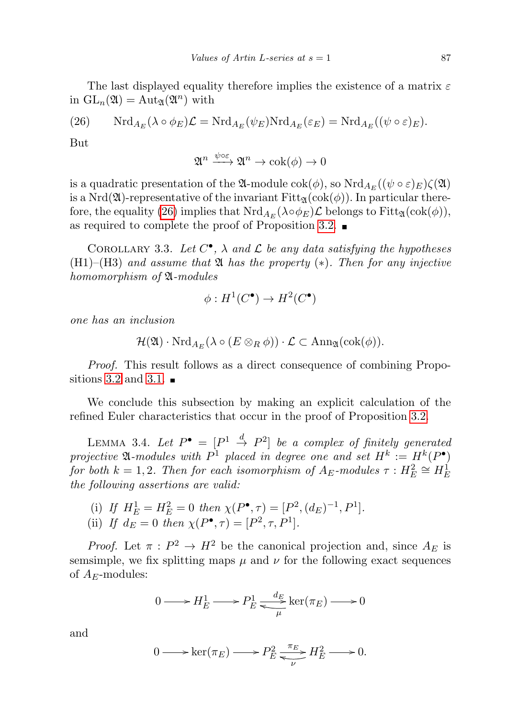The last displayed equality therefore implies the existence of a matrix  $\varepsilon$ in  $GL_n(\mathfrak{A}) = Aut_{\mathfrak{A}}(\mathfrak{A}^n)$  with

<span id="page-20-1"></span>(26) 
$$
\mathrm{Nrd}_{A_E}(\lambda \circ \phi_E)\mathcal{L} = \mathrm{Nrd}_{A_E}(\psi_E)\mathrm{Nrd}_{A_E}(\varepsilon_E) = \mathrm{Nrd}_{A_E}((\psi \circ \varepsilon)_E).
$$

But

$$
\mathfrak{A}^n \xrightarrow{\psi \circ \varepsilon} \mathfrak{A}^n \to \mathrm{cok}(\phi) \to 0
$$

is a quadratic presentation of the  $\mathfrak A$ -module  $\operatorname{cok}(\phi)$ , so  $\operatorname{Nrd}_{A_E}((\psi \circ \varepsilon)_E)\zeta(\mathfrak A)$ is a Nrd( $\mathfrak{A}$ )-representative of the invariant Fitt<sub> $\mathfrak{A}(\text{cok}(\phi))$ . In particular there-</sub> fore, the equality [\(26\)](#page-20-1) implies that  $\mathrm{Nrd}_{A_E}(\lambda \circ \phi_E) \mathcal{L}$  belongs to  $\mathrm{Fitt}_{\mathfrak{A}}(\mathrm{cok}(\phi)),$ as required to complete the proof of Proposition [3.2.](#page-17-0)

COROLLARY 3.3. Let  $C^{\bullet}$ ,  $\lambda$  and  $\mathcal L$  be any data satisfying the hypotheses  $(H1)$ – $(H3)$  and assume that  $\mathfrak A$  has the property  $(*)$ . Then for any injective homomorphism of  $\mathfrak A$ -modules

$$
\phi: H^1(C^\bullet) \to H^2(C^\bullet)
$$

one has an inclusion

$$
\mathcal{H}(\mathfrak{A})\cdot \mathrm{Nrd}_{A_E}(\lambda\circ (E\otimes_R \phi))\cdot \mathcal{L}\subset \mathrm{Ann}_{\mathfrak{A}}(\mathrm{cok}(\phi)).
$$

Proof. This result follows as a direct consequence of combining Propo-sitions 3.[2](#page-17-0) and [3](#page-17-1).1.  $\blacksquare$ 

We conclude this subsection by making an explicit calculation of the refined Euler characteristics that occur in the proof of Proposition [3.2.](#page-17-0)

<span id="page-20-0"></span>LEMMA 3.4. Let  $P^{\bullet} = [P^1 \stackrel{d}{\to} P^2]$  be a complex of finitely generated projective  $\mathfrak A$ -modules with  $P^1$  placed in degree one and set  $H^k := H^k(P^{\bullet})$ for both  $k = 1, 2$ . Then for each isomorphism of  $A_E$ -modules  $\tau : H_E^2 \cong H_E^1$ the following assertions are valid:

- (i) If  $H_E^1 = H_E^2 = 0$  then  $\chi(P^{\bullet}, \tau) = [P^2, (d_E)^{-1}, P^1].$
- (ii) If  $d_E = 0$  then  $\chi(P^{\bullet}, \tau) = [P^2, \tau, P^1].$

*Proof.* Let  $\pi$ :  $P^2 \to H^2$  be the canonical projection and, since  $A_E$  is semsimple, we fix splitting maps  $\mu$  and  $\nu$  for the following exact sequences of  $A_F$ -modules:

$$
0 \longrightarrow H_E^1 \longrightarrow P_E^1 \underset{\mu}{\longrightarrow} \ker(\pi_E) \longrightarrow 0
$$

and

$$
0 \longrightarrow \ker(\pi_E) \longrightarrow P_E^2 \xrightarrow{\pi_E} H_E^2 \longrightarrow 0.
$$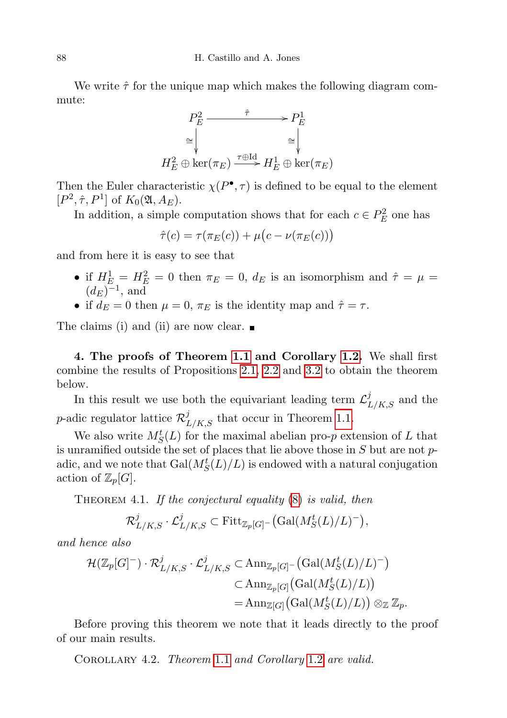We write  $\hat{\tau}$  for the unique map which makes the following diagram commute:



Then the Euler characteristic  $\chi(P^{\bullet}, \tau)$  is defined to be equal to the element  $[P^2, \hat{\tau}, P^1]$  of  $K_0(\mathfrak{A}, A_E)$ .

In addition, a simple computation shows that for each  $c \in P_E^2$  one has

$$
\hat{\tau}(c) = \tau(\pi_E(c)) + \mu(c - \nu(\pi_E(c)))
$$

and from here it is easy to see that

- if  $H_E^1 = H_E^2 = 0$  then  $\pi_E = 0$ ,  $d_E$  is an isomorphism and  $\hat{\tau} = \mu =$  $(d_E)^{-1}$ , and
- if  $d_E = 0$  then  $\mu = 0$ ,  $\pi_E$  is the identity map and  $\hat{\tau} = \tau$ .

The claims (i) and (ii) are now clear.  $\blacksquare$ 

<span id="page-21-0"></span>4. The proofs of Theorem [1.1](#page-2-0) and Corollary [1.2.](#page-3-0) We shall first combine the results of Propositions [2.1,](#page-9-0) [2.2](#page-10-1) and [3.2](#page-17-0) to obtain the theorem below.

In this result we use both the equivariant leading term  $\mathcal{L}^{j}_{L/K,S}$  and the *p*-adic regulator lattice  $\mathcal{R}_{L/K,S}^j$  that occur in Theorem [1.1.](#page-2-0)

We also write  $M_S^t(L)$  for the maximal abelian pro-*p* extension of L that is unramified outside the set of places that lie above those in  $S$  but are not  $p$ adic, and we note that  $\operatorname{Gal}(M_S^t(L)/L)$  is endowed with a natural conjugation action of  $\mathbb{Z}_p[G]$ .

<span id="page-21-1"></span>THEOREM 4.1. If the conjectural equality  $(8)$  is valid, then

$$
\mathcal{R}_{L/K,S}^j \cdot \mathcal{L}_{L/K,S}^j \subset \mathrm{Fitt}_{\mathbb{Z}_p[G]}(\mathrm{Gal}(M_S^t(L)/L)^-),
$$

and hence also

$$
\mathcal{H}(\mathbb{Z}_p[G]^-) \cdot \mathcal{R}_{L/K,S}^j \cdot \mathcal{L}_{L/K,S}^j \subset \text{Ann}_{\mathbb{Z}_p[G]} - (\text{Gal}(M_S^t(L)/L)^-)
$$
  

$$
\subset \text{Ann}_{\mathbb{Z}_p[G]} (\text{Gal}(M_S^t(L)/L))
$$
  

$$
= \text{Ann}_{\mathbb{Z}[G]} (\text{Gal}(M_S^t(L)/L)) \otimes_{\mathbb{Z}} \mathbb{Z}_p.
$$

Before proving this theorem we note that it leads directly to the proof of our main results.

COROLLARY 4.2. Theorem [1](#page-3-0).1 and Corollary 1.2 are valid.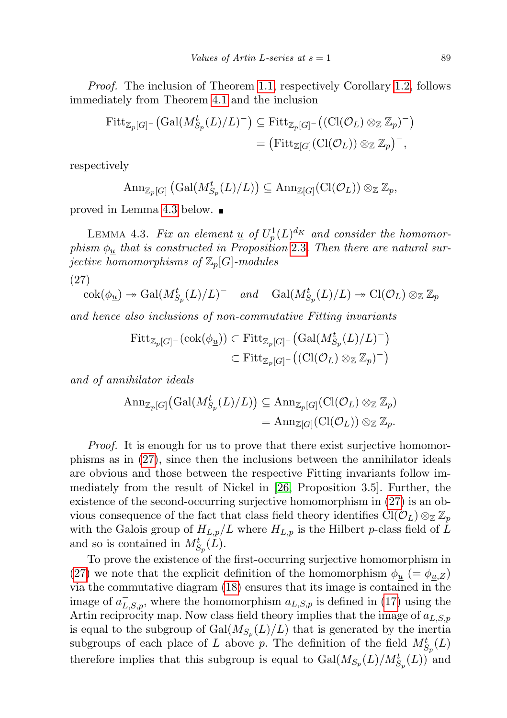Proof. The inclusion of Theorem [1.1,](#page-2-0) respectively Corollary [1.2,](#page-3-0) follows immediately from Theorem [4.1](#page-21-1) and the inclusion

$$
\begin{aligned} \mathrm{Fitt}_{\mathbb{Z}_p[G]^{-}}\big( \mathrm{Gal}(M^t_{S_p}(L)/L)^{-} \big) &\subseteq \mathrm{Fitt}_{\mathbb{Z}_p[G]^{-}}\big( (\mathrm{Cl}(\mathcal{O}_L) \otimes_{\mathbb{Z}} \mathbb{Z}_p)^{-} \big) \\ &= \big( \mathrm{Fitt}_{\mathbb{Z}[G]}(\mathrm{Cl}(\mathcal{O}_L)) \otimes_{\mathbb{Z}} \mathbb{Z}_p \big)^{-}, \end{aligned}
$$

respectively

$$
\mathrm{Ann}_{\mathbb{Z}_p[G]}\left(\mathrm{Gal}(M^t_{S_p}(L)/L)\right) \subseteq \mathrm{Ann}_{\mathbb{Z}[G]}(\mathrm{Cl}(\mathcal{O}_L)) \otimes_{\mathbb{Z}} \mathbb{Z}_p,
$$

proved in Lemma [4.3](#page-22-0) below.

<span id="page-22-0"></span>LEMMA 4.3. Fix an element  $\underline{u}$  of  $U_p^1(L)^{d_K}$  and consider the homomorphism  $\phi_u$  that is constructed in Proposition [2](#page-12-0).3. Then there are natural surjective homomorphisms of  $\mathbb{Z}_p[G]$ -modules

(27)

<span id="page-22-1"></span>
$$
\operatorname{cok}(\phi_{\underline{u}}) \to \operatorname{Gal}(M_{S_p}^t(L)/L)^- \quad \text{and} \quad \operatorname{Gal}(M_{S_p}^t(L)/L) \to \operatorname{Cl}(\mathcal{O}_L) \otimes_{\mathbb{Z}} \mathbb{Z}_p
$$

and hence also inclusions of non-commutative Fitting invariants

$$
\begin{aligned} \mathrm{Fitt}_{\mathbb{Z}_p[G]^{-}}(\mathrm{cok}(\phi_{\underline{u}})) &\subset \mathrm{Fitt}_{\mathbb{Z}_p[G]^{-}}\big(\mathrm{Gal}(M^t_{S_p}(L)/L)^-\big) \\ &\subset \mathrm{Fitt}_{\mathbb{Z}_p[G]^{-}}\big((\mathrm{Cl}(\mathcal{O}_L)\otimes_{\mathbb{Z}}\mathbb{Z}_p)^-\big) \end{aligned}
$$

and of annihilator ideals

$$
\begin{aligned} \operatorname{Ann}_{\mathbb{Z}_p[G]}\big(\operatorname{Gal}(M_{S_p}^t(L)/L)\big) &\subseteq \operatorname{Ann}_{\mathbb{Z}_p[G]}(\operatorname{Cl}(\mathcal{O}_L) \otimes_{\mathbb{Z}} \mathbb{Z}_p) \\ &= \operatorname{Ann}_{\mathbb{Z}[G]}(\operatorname{Cl}(\mathcal{O}_L)) \otimes_{\mathbb{Z}} \mathbb{Z}_p. \end{aligned}
$$

Proof. It is enough for us to prove that there exist surjective homomorphisms as in [\(27\)](#page-22-1), since then the inclusions between the annihilator ideals are obvious and those between the respective Fitting invariants follow immediately from the result of Nickel in [\[26,](#page-26-5) Proposition 3.5]. Further, the existence of the second-occurring surjective homomorphism in [\(27\)](#page-22-1) is an obvious consequence of the fact that class field theory identifies  $\text{Cl}(\mathcal{O}_L) \otimes_{\mathbb{Z}} \mathbb{Z}_p$ with the Galois group of  $H_{L,p}/L$  where  $H_{L,p}$  is the Hilbert p-class field of L and so is contained in  $M^t_{S_p}(L)$ .

To prove the existence of the first-occurring surjective homomorphism in [\(27\)](#page-22-1) we note that the explicit definition of the homomorphism  $\phi_u$  (=  $\phi_{u,Z}$ ) via the commutative diagram [\(18\)](#page-13-2) ensures that its image is contained in the image of  $a_{L,S,p}^-$ , where the homomorphism  $a_{L,S,p}$  is defined in [\(17\)](#page-13-1) using the Artin reciprocity map. Now class field theory implies that the image of  $a_{L,S,p}$ is equal to the subgroup of  $Gal(M_{S_p}(L)/L)$  that is generated by the inertia subgroups of each place of L above p. The definition of the field  $M_{S_p}^t(L)$ therefore implies that this subgroup is equal to  $Gal(M_{S_p}(L)/M_{S_p}^t(L))$  and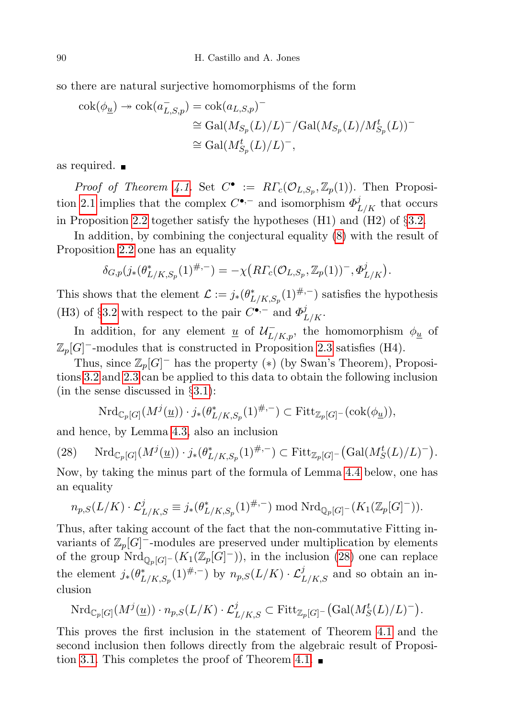so there are natural surjective homomorphisms of the form

$$
\begin{aligned} \mathrm{cok}(\phi_{\underline{u}}) \twoheadrightarrow \mathrm{cok}(a_{L,S,p}^-) &= \mathrm{cok}(a_{L,S,p})^- \\ &\cong \mathrm{Gal}(M_{S_p}(L)/L)^-/\mathrm{Gal}(M_{S_p}(L)/M_{S_p}^t(L))^- \\ &\cong \mathrm{Gal}(M_{S_p}^t(L)/L)^-, \end{aligned}
$$

as required.

*Proof of Theorem [4.1.](#page-21-1)* Set  $C^{\bullet} := R\Gamma_c(\mathcal{O}_{L,S_p}, \mathbb{Z}_p(1))$ . Then Proposi-tion [2.1](#page-9-0) implies that the complex  $C^{\bullet,-}$  and isomorphism  $\Phi_{L/K}^j$  that occurs in Proposition [2.2](#page-10-1) together satisfy the hypotheses (H1) and (H2) of §[3.2.](#page-17-2)

In addition, by combining the conjectural equality [\(8\)](#page-8-0) with the result of Proposition [2.2](#page-10-1) one has an equality

$$
\delta_{G,p}(j_*(\theta_{L/K,S_p}^*(1)^{\#,-})=-\chi\big(R\Gamma_c(\mathcal{O}_{L,S_p},\mathbb{Z}_p(1))^-,\Phi_{L/K}^j\big).
$$

This shows that the element  $\mathcal{L} := j_*(\theta^*_{L/K,S_p}(1)^{\#,-})$  satisfies the hypothesis (H3) of §[3.2](#page-17-2) with respect to the pair  $C^{\bullet,-}$  and  $\Phi_{L/K}^j$ .

In addition, for any element <u>u</u> of  $\mathcal{U}^-_{L/K,p}$ , the homomorphism  $\phi_{\underline{u}}$  of  $\mathbb{Z}_p[G]$ <sup>-</sup>-modules that is constructed in Proposition [2.3](#page-12-0) satisfies (H4).

Thus, since  $\mathbb{Z}_p[G]$ <sup>-</sup> has the property (\*) (by Swan's Theorem), Propositions [3.2](#page-17-0) and [2.3](#page-12-0) can be applied to this data to obtain the following inclusion (in the sense discussed in §[3.1\)](#page-15-0):

$$
\mathrm{Nrd}_{\mathbb{C}_p[G]}(M^j(\underline{u})) \cdot j_*(\theta^*_{L/K,S_p}(1)^{\#,-}) \subset \mathrm{Fitt}_{\mathbb{Z}_p[G]}(\mathrm{cok}(\phi_{\underline{u}})),
$$

and hence, by Lemma [4.3,](#page-22-0) also an inclusion

<span id="page-23-0"></span>
$$
(28) \quad \mathrm{Nrd}_{\mathbb{C}_p[G]}(M^j(\underline{u})) \cdot j_*(\theta^*_{L/K,S_p}(1)^{\#,-}) \subset \mathrm{Fitt}_{\mathbb{Z}_p[G]}(\mathrm{Gal}(M_S^t(L)/L)^{-}).
$$

Now, by taking the minus part of the formula of Lemma [4.4](#page-24-0) below, one has an equality

$$
n_{p,S}(L/K) \cdot \mathcal{L}_{L/K,S}^{j} \equiv j_{*}(\theta_{L/K,S_p}^{*}(1)^{\#,-}) \mod \mathrm{Nrd}_{\mathbb{Q}_p[G]}(K_1(\mathbb{Z}_p[G]^{-})).
$$

Thus, after taking account of the fact that the non-commutative Fitting invariants of  $\mathbb{Z}_p[G]$ <sup>-</sup>-modules are preserved under multiplication by elements of the group  $\overline{\mathrm{Nrd}}_{\mathbb{Q}_p[G]}(K_1(\mathbb{Z}_p[G]^-))$ , in the inclusion [\(28\)](#page-23-0) one can replace the element  $j_*(\theta^*_{L/K,S_p}(1)^{\#,-})$  by  $n_{p,S}(L/K) \cdot \mathcal{L}^j_{L/K,S}$  and so obtain an inclusion

$$
\mathrm{Nrd}_{\mathbb{C}_p[G]}(M^{j}(\underline{u}))\cdot n_{p,S}(L/K)\cdot \mathcal{L}^{j}_{L/K,S}\subset \mathrm{Fitt}_{\mathbb{Z}_p[G]^{-}}(\mathrm{Gal}(M^{t}_{S}(L)/L)^{-}).
$$

This proves the first inclusion in the statement of Theorem [4.1](#page-21-1) and the second inclusion then follows directly from the algebraic result of Proposi-tion [3.1.](#page-17-1) This completes the proof of Theorem [4.1.](#page-21-1)  $\blacksquare$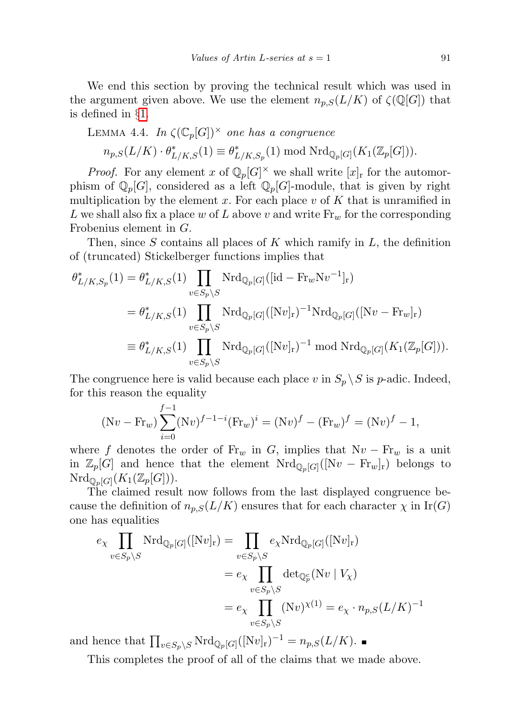We end this section by proving the technical result which was used in the argument given above. We use the element  $n_{p,S}(L/K)$  of  $\zeta(\mathbb{Q}[G])$  that is defined in §[1.](#page-0-0)

<span id="page-24-0"></span>LEMMA 4.4. In 
$$
\zeta(\mathbb{C}_p[G])^{\times}
$$
 one has a congruence  
\n
$$
n_{p,S}(L/K) \cdot \theta_{L/K,S}^*(1) \equiv \theta_{L/K,S_p}^*(1) \bmod Nrd_{\mathbb{Q}_p[G]}(K_1(\mathbb{Z}_p[G])).
$$

*Proof.* For any element x of  $\mathbb{Q}_p[G]^\times$  we shall write  $[x]_r$  for the automorphism of  $\mathbb{Q}_p[G]$ , considered as a left  $\mathbb{Q}_p[G]$ -module, that is given by right multiplication by the element x. For each place  $v$  of  $K$  that is unramified in L we shall also fix a place w of L above v and write  $\text{Fr}_w$  for the corresponding Frobenius element in G.

Then, since  $S$  contains all places of  $K$  which ramify in  $L$ , the definition of (truncated) Stickelberger functions implies that

$$
\theta_{L/K,S_p}^*(1) = \theta_{L/K,S}^*(1) \prod_{v \in S_p \setminus S} \text{Nrd}_{\mathbb{Q}_p[G]}([\text{id} - \text{Fr}_w \text{N}v^{-1}]_r)
$$
  
\n
$$
= \theta_{L/K,S}^*(1) \prod_{v \in S_p \setminus S} \text{Nrd}_{\mathbb{Q}_p[G]}([\text{N}v]_r)^{-1} \text{Nrd}_{\mathbb{Q}_p[G]}([\text{N}v - \text{Fr}_w]_r)
$$
  
\n
$$
\equiv \theta_{L/K,S}^*(1) \prod_{v \in S_p \setminus S} \text{Nrd}_{\mathbb{Q}_p[G]}([\text{N}v]_r)^{-1} \text{ mod } \text{Nrd}_{\mathbb{Q}_p[G]}(K_1(\mathbb{Z}_p[G])).
$$

The congruence here is valid because each place v in  $S_p \setminus S$  is p-adic. Indeed, for this reason the equality

$$
(Nv - Fr_w) \sum_{i=0}^{f-1} (Nv)^{f-1-i} (Fr_w)^i = (Nv)^f - (Fr_w)^f = (Nv)^f - 1,
$$

where f denotes the order of  $\text{Fr}_w$  in G, implies that  $Nv - \text{Fr}_w$  is a unit in  $\mathbb{Z}_p[G]$  and hence that the element  $\mathrm{Nrd}_{\mathbb{Q}_p[G]}([\mathrm{N}v - \mathrm{Fr}_w]_r)$  belongs to  $\mathrm{Nrd}_{\mathbb{Q}_p[G]}(K_1(\mathbb{Z}_p[G])).$ 

The claimed result now follows from the last displayed congruence because the definition of  $n_{p,S}(L/K)$  ensures that for each character  $\chi$  in Ir(G) one has equalities

$$
e_{\chi} \prod_{v \in S_p \backslash S} \text{Nrd}_{\mathbb{Q}_p[G]}([\text{N}v]_{\text{r}}) = \prod_{v \in S_p \backslash S} e_{\chi} \text{Nrd}_{\mathbb{Q}_p[G]}([\text{N}v]_{\text{r}})
$$
  

$$
= e_{\chi} \prod_{v \in S_p \backslash S} \det_{\mathbb{Q}_p^c} (\text{N}v \mid V_{\chi})
$$
  

$$
= e_{\chi} \prod_{v \in S_p \backslash S} (\text{N}v)^{\chi(1)} = e_{\chi} \cdot n_{p,S} (L/K)^{-1}
$$

and hence that  $\prod_{v \in S_p \setminus S} \text{Nrd}_{\mathbb{Q}_p[G]}([\text{N}v]_r)^{-1} = n_{p,S}(L/K)$ .

This completes the proof of all of the claims that we made above.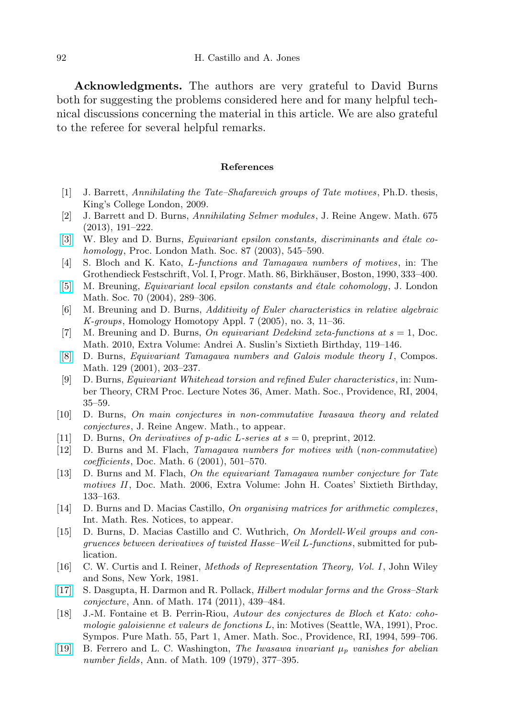Acknowledgments. The authors are very grateful to David Burns both for suggesting the problems considered here and for many helpful technical discussions concerning the material in this article. We are also grateful to the referee for several helpful remarks.

## References

- <span id="page-25-11"></span>[1] J. Barrett, Annihilating the Tate–Shafarevich groups of Tate motives , Ph.D. thesis, King's College London, 2009.
- <span id="page-25-9"></span>[2] J. Barrett and D. Burns, Annihilating Selmer modules, J. Reine Angew. Math. 675 (2013), 191–222.
- <span id="page-25-4"></span>[\[3\]](http://dx.doi.org/10.1112/S0024611503014217) W. Bley and D. Burns, *Equivariant epsilon constants, discriminants and étale co*homology, Proc. London Math. Soc. 87 (2003), 545–590.
- <span id="page-25-16"></span>[4] S. Bloch and K. Kato, L-functions and Tamagawa numbers of motives, in: The Grothendieck Festschrift, Vol. I, Progr. Math. 86, Birkhäuser, Boston, 1990, 333–400.
- <span id="page-25-5"></span>[\[5\]](http://dx.doi.org/10.1112/S002461070400554X) M. Breuning, *Equivariant local epsilon constants and étale cohomology*, J. London Math. Soc. 70 (2004), 289–306.
- <span id="page-25-15"></span>[6] M. Breuning and D. Burns, Additivity of Euler characteristics in relative algebraic  $K\text{-}groups, Homology Homotopy Appl. 7 (2005), no. 3, 11-36.$
- <span id="page-25-6"></span>[7] M. Breuning and D. Burns, On equivariant Dedekind zeta-functions at  $s = 1$ , Doc. Math. 2010, Extra Volume: Andrei A. Suslin's Sixtieth Birthday, 119–146.
- <span id="page-25-13"></span>[\[8\]](http://dx.doi.org/10.1023/A:1014502826745) D. Burns, Equivariant Tamagawa numbers and Galois module theory I, Compos. Math. 129 (2001), 203–237.
- <span id="page-25-14"></span>[9] D. Burns, Equivariant Whitehead torsion and refined Euler characteristics , in: Number Theory, CRM Proc. Lecture Notes 36, Amer. Math. Soc., Providence, RI, 2004, 35–59.
- <span id="page-25-2"></span>[10] D. Burns, On main conjectures in non-commutative Iwasawa theory and related conjectures, J. Reine Angew. Math., to appear.
- <span id="page-25-3"></span>[11] D. Burns, *On derivatives of p-adic L-series at s* = 0, preprint, 2012.
- <span id="page-25-0"></span>[12] D. Burns and M. Flach, Tamagawa numbers for motives with (non-commutative) coefficients, Doc. Math. 6 (2001), 501–570.
- <span id="page-25-8"></span>[13] D. Burns and M. Flach, On the equivariant Tamagawa number conjecture for Tate motives II, Doc. Math. 2006, Extra Volume: John H. Coates' Sixtieth Birthday, 133–163.
- <span id="page-25-10"></span>[14] D. Burns and D. Macias Castillo, On organising matrices for arithmetic complexes, Int. Math. Res. Notices, to appear.
- <span id="page-25-12"></span>[15] D. Burns, D. Macias Castillo and C. Wuthrich, On Mordell-Weil groups and congruences between derivatives of twisted Hasse–Weil L-functions, submitted for publication.
- <span id="page-25-18"></span>[16] C. W. Curtis and I. Reiner, Methods of Representation Theory, Vol. I, John Wiley and Sons, New York, 1981.
- <span id="page-25-1"></span>[\[17\]](http://dx.doi.org/10.4007/annals.2011.174.1.12) S. Dasgupta, H. Darmon and R. Pollack, Hilbert modular forms and the Gross–Stark conjecture, Ann. of Math. 174 (2011), 439–484.
- <span id="page-25-17"></span>[18] J.-M. Fontaine et B. Perrin-Riou, Autour des conjectures de Bloch et Kato: cohomologie galoisienne et valeurs de fonctions  $L$ , in: Motives (Seattle, WA, 1991), Proc. Sympos. Pure Math. 55, Part 1, Amer. Math. Soc., Providence, RI, 1994, 599–706.
- <span id="page-25-7"></span>[\[19\]](http://dx.doi.org/10.2307/1971116) B. Ferrero and L. C. Washington, The Iwasawa invariant  $\mu_p$  vanishes for abelian number fields, Ann. of Math. 109 (1979), 377–395.